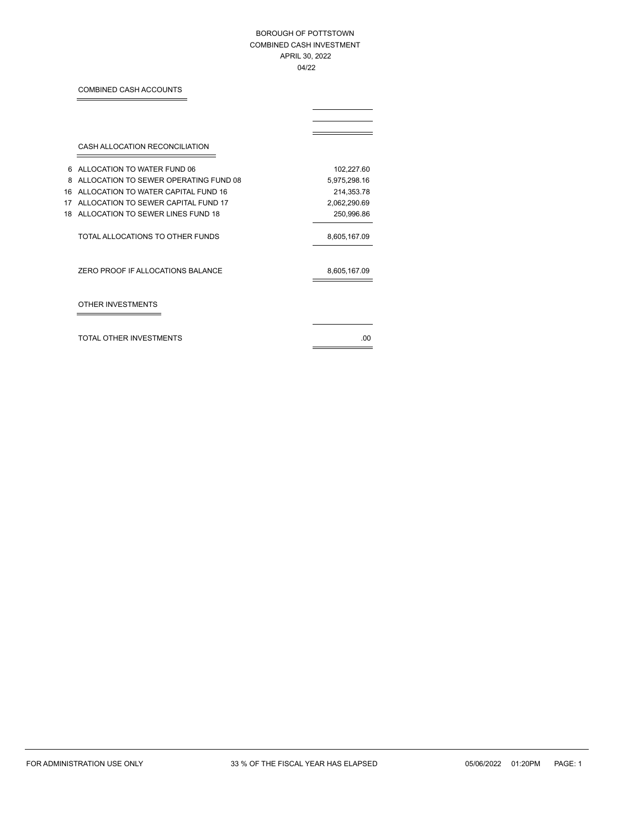### BOROUGH OF POTTSTOWN COMBINED CASH INVESTMENT APRIL 30, 2022 04/22

# COMBINED CASH ACCOUNTS

|    | CASH ALLOCATION RECONCILIATION        |              |
|----|---------------------------------------|--------------|
| 6  | ALLOCATION TO WATER FUND 06           | 102,227.60   |
| 8  | ALLOCATION TO SEWER OPERATING FUND 08 | 5,975,298.16 |
| 16 | ALLOCATION TO WATER CAPITAL FUND 16   | 214,353.78   |
| 17 | ALLOCATION TO SEWER CAPITAL FUND 17   | 2,062,290.69 |
| 18 | ALLOCATION TO SEWER LINES FUND 18     | 250,996.86   |
|    | TOTAL ALLOCATIONS TO OTHER FUNDS      | 8,605,167.09 |
|    | ZERO PROOF IF ALLOCATIONS BALANCE     | 8,605,167.09 |
|    | OTHER INVESTMENTS                     |              |
|    | TOTAL OTHER INVESTMENTS               | .00          |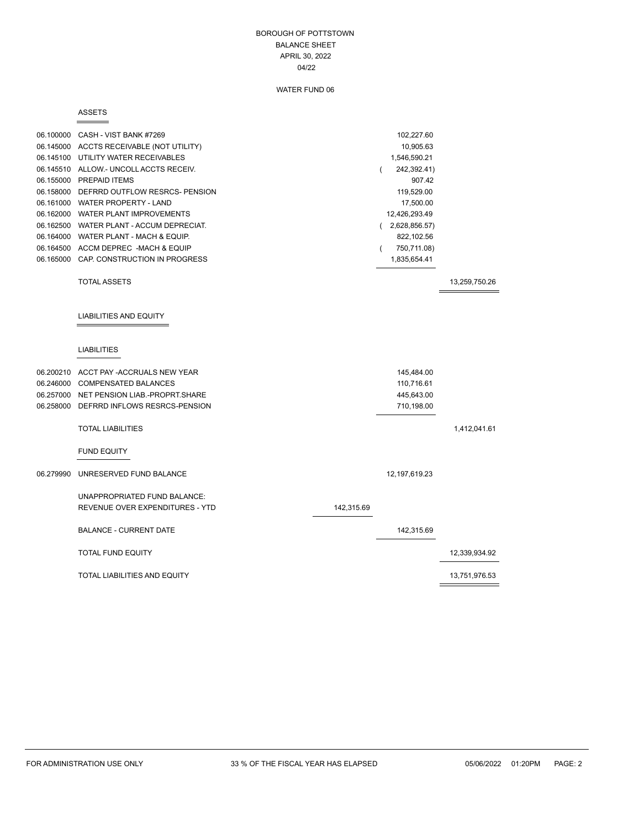### BOROUGH OF POTTSTOWN BALANCE SHEET APRIL 30, 2022 04/22

### WATER FUND 06

#### ASSETS

Ė

|           | 06.100000 CASH - VIST BANK #7269<br>06.145000 ACCTS RECEIVABLE (NOT UTILITY)<br>06.145100 UTILITY WATER RECEIVABLES<br>06.145510 ALLOW.- UNCOLL ACCTS RECEIV.<br>06.155000 PREPAID ITEMS<br>06.158000 DEFRRD OUTFLOW RESRCS- PENSION<br>06.161000 WATER PROPERTY - LAND<br>06.162000 WATER PLANT IMPROVEMENTS<br>06.162500 WATER PLANT - ACCUM DEPRECIAT.<br>06.164000 WATER PLANT - MACH & EQUIP.<br>06.164500 ACCM DEPREC -MACH & EQUIP<br>06.165000 CAP. CONSTRUCTION IN PROGRESS |            | 102,227.60<br>10,905.63<br>1,546,590.21<br>242,392.41)<br>$\left($<br>907.42<br>119,529.00<br>17,500.00<br>12,426,293.49<br>(2,628,856.57)<br>822,102.56<br>750,711.08)<br>- 1<br>1,835,654.41 |               |
|-----------|--------------------------------------------------------------------------------------------------------------------------------------------------------------------------------------------------------------------------------------------------------------------------------------------------------------------------------------------------------------------------------------------------------------------------------------------------------------------------------------|------------|------------------------------------------------------------------------------------------------------------------------------------------------------------------------------------------------|---------------|
|           | <b>TOTAL ASSETS</b>                                                                                                                                                                                                                                                                                                                                                                                                                                                                  |            |                                                                                                                                                                                                | 13,259,750.26 |
|           | <b>LIABILITIES AND EQUITY</b>                                                                                                                                                                                                                                                                                                                                                                                                                                                        |            |                                                                                                                                                                                                |               |
|           | <b>LIABILITIES</b>                                                                                                                                                                                                                                                                                                                                                                                                                                                                   |            |                                                                                                                                                                                                |               |
|           | 06.200210 ACCT PAY -ACCRUALS NEW YEAR<br>06.246000 COMPENSATED BALANCES<br>06.257000 NET PENSION LIAB.-PROPRT.SHARE<br>06.258000 DEFRRD INFLOWS RESRCS-PENSION                                                                                                                                                                                                                                                                                                                       |            | 145,484.00<br>110,716.61<br>445,643.00<br>710,198.00                                                                                                                                           |               |
|           | <b>TOTAL LIABILITIES</b>                                                                                                                                                                                                                                                                                                                                                                                                                                                             |            |                                                                                                                                                                                                | 1,412,041.61  |
|           | <b>FUND EQUITY</b>                                                                                                                                                                                                                                                                                                                                                                                                                                                                   |            |                                                                                                                                                                                                |               |
| 06.279990 | UNRESERVED FUND BALANCE                                                                                                                                                                                                                                                                                                                                                                                                                                                              |            | 12, 197, 619. 23                                                                                                                                                                               |               |
|           | UNAPPROPRIATED FUND BALANCE:<br>REVENUE OVER EXPENDITURES - YTD                                                                                                                                                                                                                                                                                                                                                                                                                      | 142,315.69 |                                                                                                                                                                                                |               |
|           | <b>BALANCE - CURRENT DATE</b>                                                                                                                                                                                                                                                                                                                                                                                                                                                        |            | 142,315.69                                                                                                                                                                                     |               |
|           | <b>TOTAL FUND EQUITY</b>                                                                                                                                                                                                                                                                                                                                                                                                                                                             |            |                                                                                                                                                                                                | 12,339,934.92 |
|           | TOTAL LIABILITIES AND EQUITY                                                                                                                                                                                                                                                                                                                                                                                                                                                         |            |                                                                                                                                                                                                | 13,751,976.53 |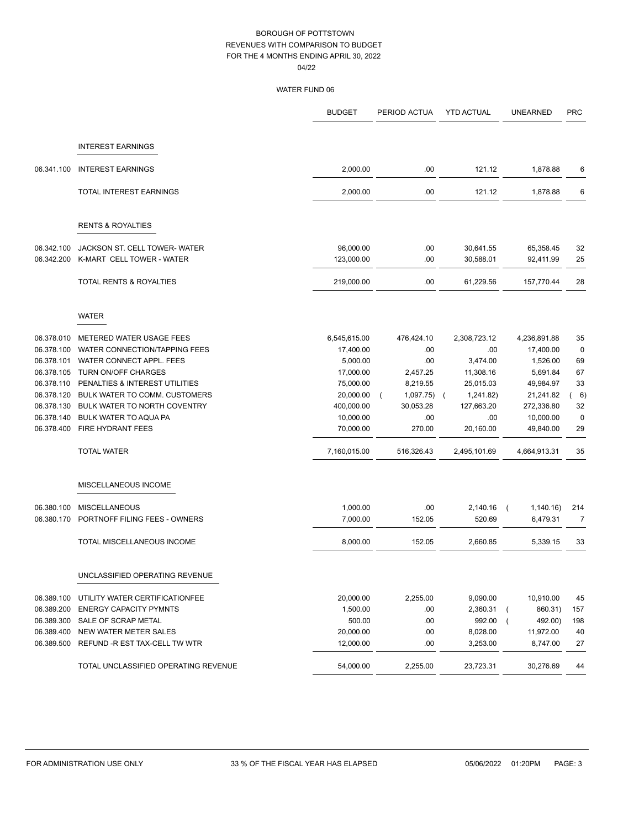|            |                                      | <b>BUDGET</b> | PERIOD ACTUA | <b>YTD ACTUAL</b>       | <b>UNEARNED</b> | <b>PRC</b>  |
|------------|--------------------------------------|---------------|--------------|-------------------------|-----------------|-------------|
|            | <b>INTEREST EARNINGS</b>             |               |              |                         |                 |             |
|            |                                      |               |              |                         |                 |             |
| 06.341.100 | <b>INTEREST EARNINGS</b>             | 2,000.00      | .00          | 121.12                  | 1,878.88        | 6           |
|            | TOTAL INTEREST EARNINGS              | 2,000.00      | .00          | 121.12                  | 1,878.88        | 6           |
|            | <b>RENTS &amp; ROYALTIES</b>         |               |              |                         |                 |             |
| 06.342.100 | JACKSON ST. CELL TOWER-WATER         | 96,000.00     | .00          | 30,641.55               | 65,358.45       | 32          |
| 06.342.200 | K-MART CELL TOWER - WATER            | 123,000.00    | .00          | 30,588.01               | 92,411.99       | 25          |
|            | TOTAL RENTS & ROYALTIES              | 219,000.00    | .00          | 61,229.56               | 157,770.44      | 28          |
|            | <b>WATER</b>                         |               |              |                         |                 |             |
| 06.378.010 | METERED WATER USAGE FEES             | 6,545,615.00  | 476,424.10   | 2,308,723.12            | 4,236,891.88    | 35          |
| 06.378.100 | WATER CONNECTION/TAPPING FEES        | 17,400.00     | .00          | .00                     | 17,400.00       | $\mathbf 0$ |
| 06.378.101 | WATER CONNECT APPL. FEES             | 5,000.00      | .00          | 3,474.00                | 1,526.00        | 69          |
| 06.378.105 | TURN ON/OFF CHARGES                  | 17,000.00     | 2,457.25     | 11,308.16               | 5,691.84        | 67          |
| 06.378.110 | PENALTIES & INTEREST UTILITIES       | 75,000.00     | 8,219.55     | 25,015.03               | 49,984.97       | 33          |
| 06.378.120 | BULK WATER TO COMM. CUSTOMERS        | 20,000.00     | 1,097.75)    | 1,241.82)<br>$\sqrt{2}$ | 21,241.82       | 6)          |
| 06.378.130 | BULK WATER TO NORTH COVENTRY         | 400,000.00    | 30,053.28    | 127,663.20              | 272,336.80      | 32          |
| 06.378.140 | BULK WATER TO AQUA PA                | 10,000.00     | .00          | .00                     | 10,000.00       | $\mathbf 0$ |
| 06.378.400 | FIRE HYDRANT FEES                    | 70,000.00     | 270.00       | 20,160.00               | 49,840.00       | 29          |
|            | <b>TOTAL WATER</b>                   | 7,160,015.00  | 516,326.43   | 2,495,101.69            | 4,664,913.31    | 35          |
|            | MISCELLANEOUS INCOME                 |               |              |                         |                 |             |
| 06.380.100 | <b>MISCELLANEOUS</b>                 | 1,000.00      | .00          | 2,140.16                | 1,140.16)       | 214         |
| 06.380.170 | PORTNOFF FILING FEES - OWNERS        | 7,000.00      | 152.05       | 520.69                  | 6,479.31        | 7           |
|            | TOTAL MISCELLANEOUS INCOME           | 8,000.00      | 152.05       | 2,660.85                | 5,339.15        | 33          |
|            | UNCLASSIFIED OPERATING REVENUE       |               |              |                         |                 |             |
| 06.389.100 | UTILITY WATER CERTIFICATIONFEE       | 20,000.00     | 2,255.00     | 9,090.00                | 10,910.00       | 45          |
| 06.389.200 | <b>ENERGY CAPACITY PYMNTS</b>        | 1,500.00      | .00          | 2,360.31                | 860.31)         | 157         |
| 06.389.300 | SALE OF SCRAP METAL                  | 500.00        | .00          | 992.00                  | 492.00)         | 198         |
| 06.389.400 | NEW WATER METER SALES                | 20,000.00     | .00          | 8,028.00                | 11,972.00       | 40          |
| 06.389.500 | REFUND -R EST TAX-CELL TW WTR        | 12,000.00     | .00          | 3,253.00                | 8,747.00        | 27          |
|            | TOTAL UNCLASSIFIED OPERATING REVENUE | 54,000.00     | 2,255.00     | 23,723.31               | 30,276.69       | 44          |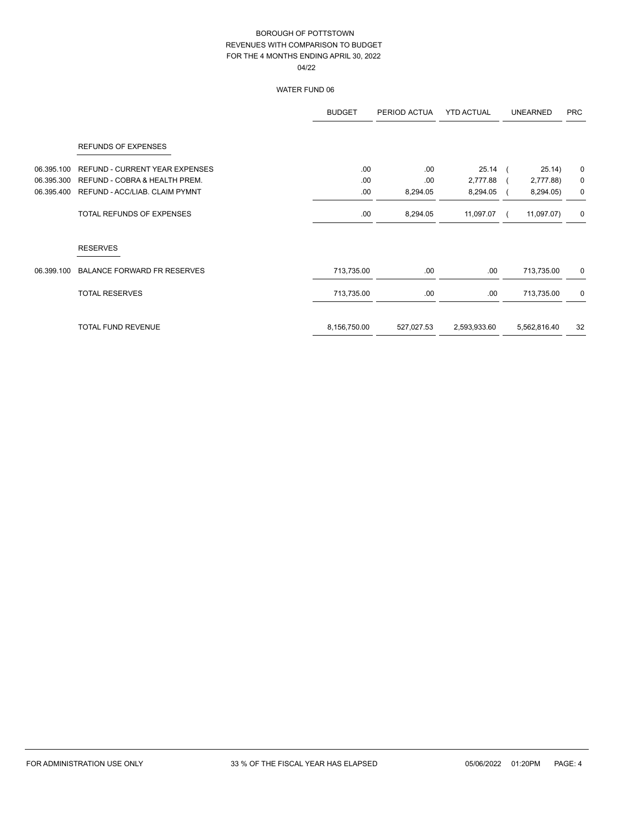|            |                                    | <b>BUDGET</b> | PERIOD ACTUA | <b>YTD ACTUAL</b> | <b>UNEARNED</b> | <b>PRC</b> |
|------------|------------------------------------|---------------|--------------|-------------------|-----------------|------------|
|            | <b>REFUNDS OF EXPENSES</b>         |               |              |                   |                 |            |
| 06.395.100 | REFUND - CURRENT YEAR EXPENSES     | .00           | .00          | $25.14$ (         | 25.14)          | 0          |
| 06.395.300 | REFUND - COBRA & HEALTH PREM.      | .00           | .00          | 2,777.88          | 2,777.88)       | 0          |
| 06.395.400 | REFUND - ACC/LIAB. CLAIM PYMNT     | .00           | 8,294.05     | 8,294.05          | 8,294.05)       | 0          |
|            | TOTAL REFUNDS OF EXPENSES          | .00           | 8,294.05     | 11,097.07         | 11,097.07)      | 0          |
|            | <b>RESERVES</b>                    |               |              |                   |                 |            |
| 06.399.100 | <b>BALANCE FORWARD FR RESERVES</b> | 713,735.00    | .00.         | .00.              | 713,735.00      | 0          |
|            | <b>TOTAL RESERVES</b>              | 713,735.00    | .00.         | .00               | 713,735.00      | 0          |
|            | TOTAL FUND REVENUE                 | 8,156,750.00  | 527,027.53   | 2,593,933.60      | 5,562,816.40    | 32         |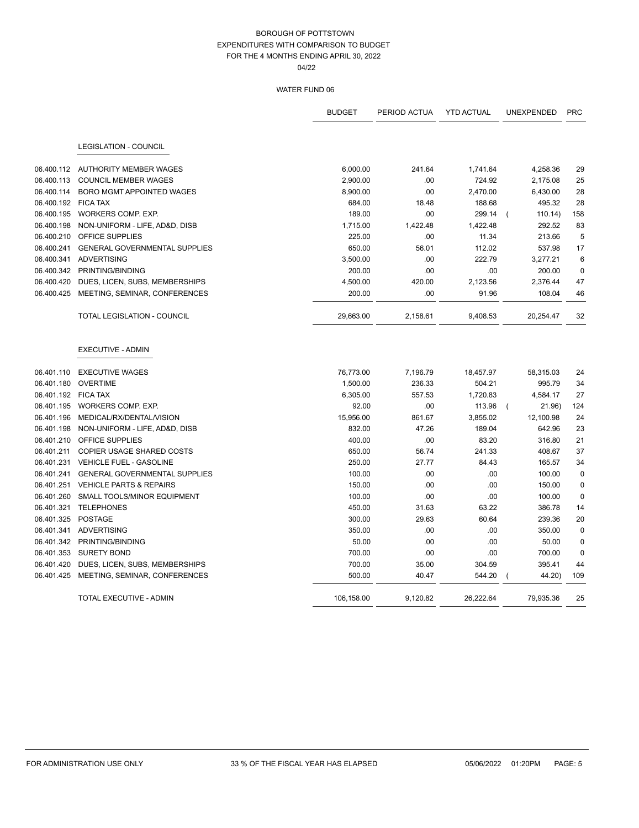|                     |                                          | <b>BUDGET</b> | PERIOD ACTUA | <b>YTD ACTUAL</b> | <b>UNEXPENDED</b>  | <b>PRC</b>  |
|---------------------|------------------------------------------|---------------|--------------|-------------------|--------------------|-------------|
|                     | LEGISLATION - COUNCIL                    |               |              |                   |                    |             |
|                     |                                          |               |              |                   |                    |             |
|                     | 06.400.112 AUTHORITY MEMBER WAGES        | 6,000.00      | 241.64       | 1,741.64          | 4,258.36           | 29          |
| 06.400.113          | <b>COUNCIL MEMBER WAGES</b>              | 2,900.00      | .00          | 724.92            | 2,175.08           | 25          |
| 06.400.114          | BORO MGMT APPOINTED WAGES                | 8,900.00      | .00          | 2,470.00          | 6,430.00           | 28          |
| 06.400.192 FICA TAX |                                          | 684.00        | 18.48        | 188.68            | 495.32             | 28          |
| 06.400.195          | WORKERS COMP. EXP.                       | 189.00        | .00          | 299.14            | 110.14<br>$\left($ | 158         |
| 06.400.198          | NON-UNIFORM - LIFE, AD&D, DISB           | 1,715.00      | 1,422.48     | 1,422.48          | 292.52             | 83          |
| 06.400.210          | OFFICE SUPPLIES                          | 225.00        | .00          | 11.34             | 213.66             | 5           |
| 06.400.241          | <b>GENERAL GOVERNMENTAL SUPPLIES</b>     | 650.00        | 56.01        | 112.02            | 537.98             | 17          |
| 06.400.341          | <b>ADVERTISING</b>                       | 3,500.00      | .00          | 222.79            | 3,277.21           | 6           |
|                     | 06.400.342 PRINTING/BINDING              | 200.00        | .00          | .00               | 200.00             | $\mathbf 0$ |
| 06.400.420          | DUES, LICEN, SUBS, MEMBERSHIPS           | 4,500.00      | 420.00       | 2,123.56          | 2,376.44           | 47          |
| 06.400.425          | MEETING, SEMINAR, CONFERENCES            | 200.00        | .00          | 91.96             | 108.04             | 46          |
|                     | <b>TOTAL LEGISLATION - COUNCIL</b>       | 29,663.00     | 2,158.61     | 9,408.53          | 20,254.47          | 32          |
|                     | <b>EXECUTIVE - ADMIN</b>                 |               |              |                   |                    |             |
| 06.401.110          | <b>EXECUTIVE WAGES</b>                   | 76,773.00     | 7,196.79     | 18,457.97         | 58,315.03          | 24          |
|                     | 06.401.180 OVERTIME                      | 1,500.00      | 236.33       | 504.21            | 995.79             | 34          |
| 06.401.192 FICA TAX |                                          | 6,305.00      | 557.53       | 1,720.83          | 4,584.17           | 27          |
|                     | 06.401.195 WORKERS COMP. EXP.            | 92.00         | .00          | 113.96            | 21.96)             | 124         |
| 06.401.196          | MEDICAL/RX/DENTAL/VISION                 | 15,956.00     | 861.67       | 3,855.02          | 12,100.98          | 24          |
| 06.401.198          | NON-UNIFORM - LIFE, AD&D, DISB           | 832.00        | 47.26        | 189.04            | 642.96             | 23          |
| 06.401.210          | OFFICE SUPPLIES                          | 400.00        | .00          | 83.20             | 316.80             | 21          |
| 06.401.211          | <b>COPIER USAGE SHARED COSTS</b>         | 650.00        | 56.74        | 241.33            | 408.67             | 37          |
| 06.401.231          | VEHICLE FUEL - GASOLINE                  | 250.00        | 27.77        | 84.43             | 165.57             | 34          |
| 06.401.241          | <b>GENERAL GOVERNMENTAL SUPPLIES</b>     | 100.00        | .00          | .00               | 100.00             | $\mathbf 0$ |
| 06.401.251          | <b>VEHICLE PARTS &amp; REPAIRS</b>       | 150.00        | .00          | .00               | 150.00             | $\mathbf 0$ |
| 06.401.260          | <b>SMALL TOOLS/MINOR EQUIPMENT</b>       | 100.00        | .00          | .00               | 100.00             | $\mathbf 0$ |
| 06.401.321          | <b>TELEPHONES</b>                        | 450.00        | 31.63        | 63.22             | 386.78             | 14          |
| 06.401.325          | POSTAGE                                  | 300.00        | 29.63        | 60.64             | 239.36             | 20          |
| 06.401.341          | ADVERTISING                              | 350.00        | .00          | .00               | 350.00             | $\mathbf 0$ |
| 06.401.342          | PRINTING/BINDING                         | 50.00         | .00          | .00               | 50.00              | $\mathbf 0$ |
| 06.401.353          | <b>SURETY BOND</b>                       | 700.00        | .00          | .00               | 700.00             | $\mathbf 0$ |
| 06.401.420          | DUES, LICEN, SUBS, MEMBERSHIPS           | 700.00        | 35.00        | 304.59            | 395.41             | 44          |
|                     | 06.401.425 MEETING, SEMINAR, CONFERENCES | 500.00        | 40.47        | 544.20            | 44.20)             | 109         |
|                     | TOTAL EXECUTIVE - ADMIN                  | 106,158.00    | 9.120.82     | 26.222.64         | 79.935.36          | 25          |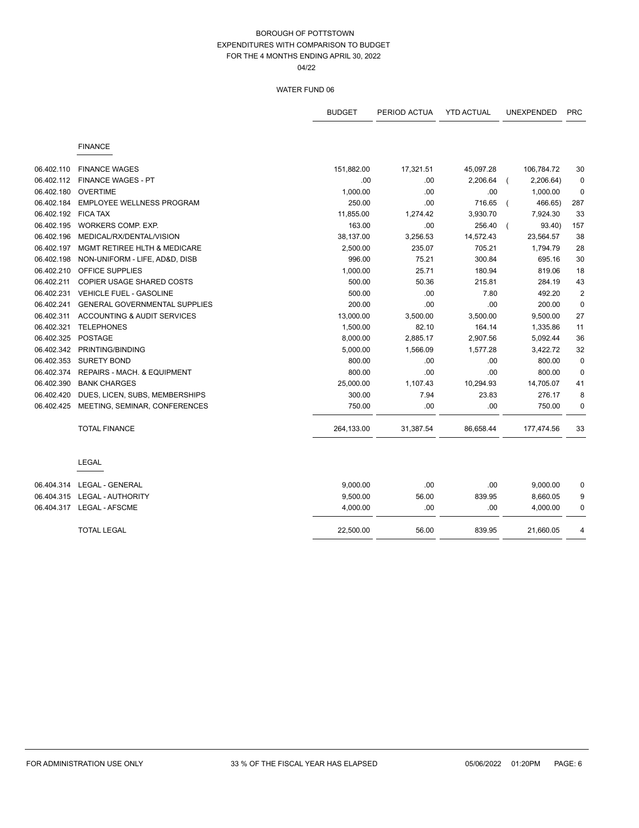04/22

|            |                                        | <b>BUDGET</b> | PERIOD ACTUA | <b>YTD ACTUAL</b> | <b>UNEXPENDED</b> | <b>PRC</b>     |
|------------|----------------------------------------|---------------|--------------|-------------------|-------------------|----------------|
|            | <b>FINANCE</b>                         |               |              |                   |                   |                |
| 06.402.110 | <b>FINANCE WAGES</b>                   | 151,882.00    | 17,321.51    | 45,097.28         | 106,784.72        | 30             |
| 06.402.112 | <b>FINANCE WAGES - PT</b>              | .00           | .00          | 2,206.64          | 2,206.64)         | 0              |
| 06.402.180 | <b>OVERTIME</b>                        | 1,000.00      | .00          | .00               | 1,000.00          | 0              |
| 06.402.184 | <b>EMPLOYEE WELLNESS PROGRAM</b>       | 250.00        | .00          | 716.65            | 466.65)           | 287            |
| 06.402.192 | <b>FICA TAX</b>                        | 11,855.00     | 1,274.42     | 3,930.70          | 7,924.30          | 33             |
| 06.402.195 | WORKERS COMP. EXP.                     | 163.00        | .00          | 256.40            | 93.40)            | 157            |
| 06.402.196 | MEDICAL/RX/DENTAL/VISION               | 38,137.00     | 3,256.53     | 14,572.43         | 23,564.57         | 38             |
| 06.402.197 | MGMT RETIREE HLTH & MEDICARE           | 2,500.00      | 235.07       | 705.21            | 1,794.79          | 28             |
| 06.402.198 | NON-UNIFORM - LIFE, AD&D, DISB         | 996.00        | 75.21        | 300.84            | 695.16            | 30             |
| 06.402.210 | OFFICE SUPPLIES                        | 1,000.00      | 25.71        | 180.94            | 819.06            | 18             |
| 06.402.211 | COPIER USAGE SHARED COSTS              | 500.00        | 50.36        | 215.81            | 284.19            | 43             |
| 06.402.231 | <b>VEHICLE FUEL - GASOLINE</b>         | 500.00        | .00          | 7.80              | 492.20            | $\overline{2}$ |
| 06.402.241 | <b>GENERAL GOVERNMENTAL SUPPLIES</b>   | 200.00        | .00          | .00               | 200.00            | $\mathbf 0$    |
| 06.402.311 | ACCOUNTING & AUDIT SERVICES            | 13,000.00     | 3,500.00     | 3,500.00          | 9,500.00          | 27             |
| 06.402.321 | <b>TELEPHONES</b>                      | 1,500.00      | 82.10        | 164.14            | 1,335.86          | 11             |
| 06.402.325 | <b>POSTAGE</b>                         | 8,000.00      | 2,885.17     | 2,907.56          | 5,092.44          | 36             |
| 06.402.342 | PRINTING/BINDING                       | 5,000.00      | 1,566.09     | 1,577.28          | 3,422.72          | 32             |
| 06.402.353 | <b>SURETY BOND</b>                     | 800.00        | .00          | .00               | 800.00            | $\mathbf 0$    |
| 06.402.374 | <b>REPAIRS - MACH, &amp; EQUIPMENT</b> | 800.00        | .00          | .00               | 800.00            | $\mathbf 0$    |
| 06.402.390 | <b>BANK CHARGES</b>                    | 25,000.00     | 1,107.43     | 10,294.93         | 14,705.07         | 41             |
| 06.402.420 | DUES, LICEN, SUBS, MEMBERSHIPS         | 300.00        | 7.94         | 23.83             | 276.17            | 8              |
| 06.402.425 | MEETING, SEMINAR, CONFERENCES          | 750.00        | .00          | .00               | 750.00            | 0              |
|            | <b>TOTAL FINANCE</b>                   | 264,133.00    | 31,387.54    | 86,658.44         | 177,474.56        | 33             |
|            | <b>LEGAL</b>                           |               |              |                   |                   |                |
| 06.404.314 | LEGAL - GENERAL                        | 9,000.00      | .00          | .00               | 9,000.00          | 0              |
|            | 06.404.315    LEGAL - AUTHORITY        | 9,500.00      | 56.00        | 839.95            | 8,660.05          | 9              |
|            |                                        | 4,000.00      | .00.         | .00               | 4,000.00          | 0              |
|            | <b>TOTAL LEGAL</b>                     | 22,500.00     | 56.00        | 839.95            | 21,660.05         | 4              |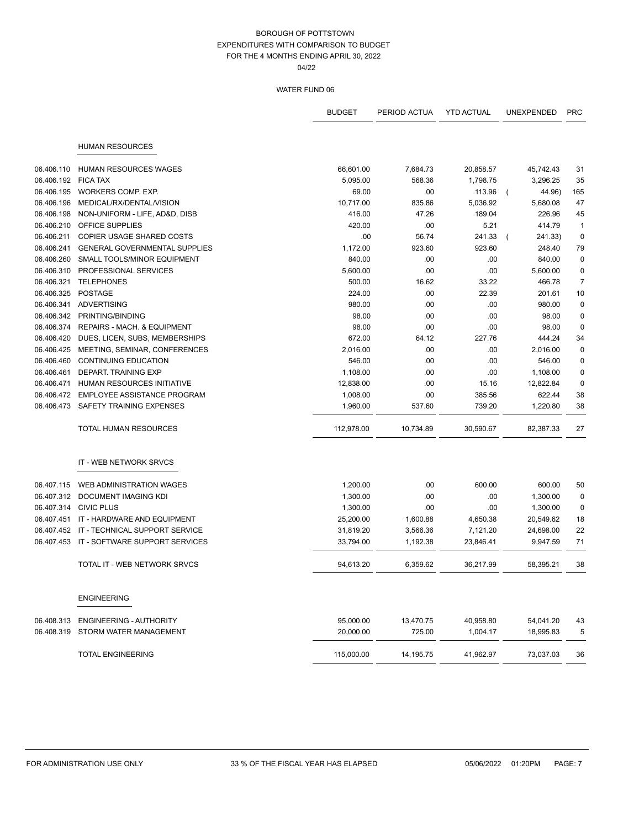04/22

|            |                                           | <b>BUDGET</b> | PERIOD ACTUA | <b>YTD ACTUAL</b> | <b>UNEXPENDED</b> | <b>PRC</b>     |
|------------|-------------------------------------------|---------------|--------------|-------------------|-------------------|----------------|
|            | <b>HUMAN RESOURCES</b>                    |               |              |                   |                   |                |
|            |                                           |               |              |                   |                   |                |
| 06.406.110 | <b>HUMAN RESOURCES WAGES</b>              | 66,601.00     | 7,684.73     | 20,858.57         | 45,742.43         | 31             |
| 06.406.192 | <b>FICA TAX</b>                           | 5,095.00      | 568.36       | 1,798.75          | 3,296.25          | 35             |
| 06.406.195 | WORKERS COMP. EXP.                        | 69.00         | .00          | 113.96            | 44.96)            | 165            |
| 06.406.196 | MEDICAL/RX/DENTAL/VISION                  | 10,717.00     | 835.86       | 5,036.92          | 5,680.08          | 47             |
| 06.406.198 | NON-UNIFORM - LIFE, AD&D, DISB            | 416.00        | 47.26        | 189.04            | 226.96            | 45             |
| 06.406.210 | <b>OFFICE SUPPLIES</b>                    | 420.00        | .00          | 5.21              | 414.79            | $\mathbf{1}$   |
| 06.406.211 | COPIER USAGE SHARED COSTS                 | .00           | 56.74        | 241.33            | 241.33)           | 0              |
| 06.406.241 | <b>GENERAL GOVERNMENTAL SUPPLIES</b>      | 1,172.00      | 923.60       | 923.60            | 248.40            | 79             |
| 06.406.260 | SMALL TOOLS/MINOR EQUIPMENT               | 840.00        | .00          | .00               | 840.00            | 0              |
| 06.406.310 | PROFESSIONAL SERVICES                     | 5,600.00      | .00          | .00               | 5,600.00          | 0              |
| 06.406.321 | <b>TELEPHONES</b>                         | 500.00        | 16.62        | 33.22             | 466.78            | $\overline{7}$ |
| 06.406.325 | <b>POSTAGE</b>                            | 224.00        | .00          | 22.39             | 201.61            | 10             |
| 06.406.341 | <b>ADVERTISING</b>                        | 980.00        | .00          | .00               | 980.00            | $\pmb{0}$      |
| 06.406.342 | PRINTING/BINDING                          | 98.00         | .00          | .00               | 98.00             | 0              |
| 06.406.374 | REPAIRS - MACH. & EQUIPMENT               | 98.00         | .00          | .00               | 98.00             | 0              |
| 06.406.420 | DUES, LICEN, SUBS, MEMBERSHIPS            | 672.00        | 64.12        | 227.76            | 444.24            | 34             |
| 06.406.425 | MEETING, SEMINAR, CONFERENCES             | 2,016.00      | .00          | .00               | 2,016.00          | 0              |
| 06.406.460 | <b>CONTINUING EDUCATION</b>               | 546.00        | .00          | .00               | 546.00            | $\pmb{0}$      |
| 06.406.461 | DEPART. TRAINING EXP                      | 1,108.00      | .00          | .00               | 1,108.00          | 0              |
| 06.406.471 | HUMAN RESOURCES INITIATIVE                | 12,838.00     | .00          | 15.16             | 12,822.84         | 0              |
| 06.406.472 | EMPLOYEE ASSISTANCE PROGRAM               | 1,008.00      | .00          | 385.56            | 622.44            | 38             |
| 06.406.473 | SAFETY TRAINING EXPENSES                  | 1,960.00      | 537.60       | 739.20            | 1,220.80          | 38             |
|            | TOTAL HUMAN RESOURCES                     | 112,978.00    | 10,734.89    | 30,590.67         | 82,387.33         | 27             |
|            | IT - WEB NETWORK SRVCS                    |               |              |                   |                   |                |
| 06.407.115 | WEB ADMINISTRATION WAGES                  | 1,200.00      | .00          | 600.00            | 600.00            | 50             |
| 06.407.312 | DOCUMENT IMAGING KDI                      | 1,300.00      | .00          | .00               | 1,300.00          | 0              |
| 06.407.314 | <b>CIVIC PLUS</b>                         | 1,300.00      | .00          | .00               | 1,300.00          | 0              |
| 06.407.451 | IT - HARDWARE AND EQUIPMENT               | 25,200.00     | 1,600.88     | 4,650.38          | 20,549.62         | 18             |
| 06.407.452 | IT - TECHNICAL SUPPORT SERVICE            | 31,819.20     | 3,566.36     | 7,121.20          | 24,698.00         | 22             |
|            | 06.407.453 IT - SOFTWARE SUPPORT SERVICES | 33,794.00     | 1,192.38     | 23,846.41         | 9,947.59          | 71             |
|            | TOTAL IT - WEB NETWORK SRVCS              | 94,613.20     | 6,359.62     | 36,217.99         | 58,395.21         | 38             |
|            | <b>ENGINEERING</b>                        |               |              |                   |                   |                |
| 06.408.313 | <b>ENGINEERING - AUTHORITY</b>            | 95,000.00     | 13,470.75    | 40,958.80         | 54,041.20         | 43             |
| 06.408.319 | STORM WATER MANAGEMENT                    | 20,000.00     | 725.00       | 1,004.17          | 18,995.83         | 5              |
|            | <b>TOTAL ENGINEERING</b>                  | 115,000.00    | 14,195.75    | 41,962.97         | 73,037.03         | 36             |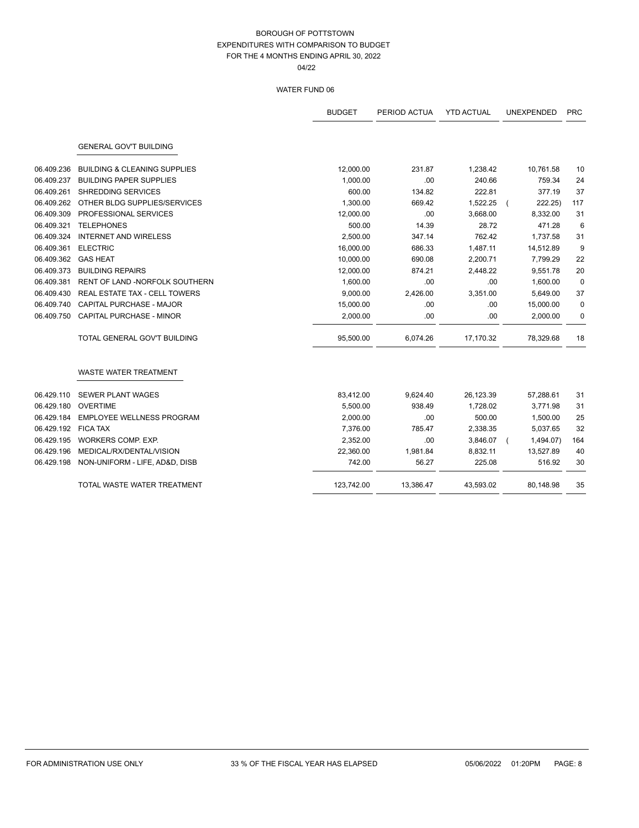|            |                                         | <b>BUDGET</b> | PERIOD ACTUA | <b>YTD ACTUAL</b> | <b>UNEXPENDED</b> | <b>PRC</b>  |
|------------|-----------------------------------------|---------------|--------------|-------------------|-------------------|-------------|
|            | <b>GENERAL GOV'T BUILDING</b>           |               |              |                   |                   |             |
| 06.409.236 | <b>BUILDING &amp; CLEANING SUPPLIES</b> | 12,000.00     | 231.87       | 1,238.42          | 10,761.58         | 10          |
| 06.409.237 | <b>BUILDING PAPER SUPPLIES</b>          | 1,000.00      | .00          | 240.66            | 759.34            | 24          |
| 06.409.261 | SHREDDING SERVICES                      | 600.00        | 134.82       | 222.81            | 377.19            | 37          |
| 06.409.262 | OTHER BLDG SUPPLIES/SERVICES            | 1,300.00      | 669.42       | 1,522.25          | 222.25)           | 117         |
| 06.409.309 | PROFESSIONAL SERVICES                   | 12,000.00     | .00          | 3,668.00          | 8,332.00          | 31          |
| 06.409.321 | <b>TELEPHONES</b>                       | 500.00        | 14.39        | 28.72             | 471.28            | 6           |
| 06.409.324 | <b>INTERNET AND WIRELESS</b>            | 2,500.00      | 347.14       | 762.42            | 1,737.58          | 31          |
| 06.409.361 | <b>ELECTRIC</b>                         | 16,000.00     | 686.33       | 1,487.11          | 14,512.89         | 9           |
| 06.409.362 | <b>GAS HEAT</b>                         | 10,000.00     | 690.08       | 2,200.71          | 7,799.29          | 22          |
| 06.409.373 | <b>BUILDING REPAIRS</b>                 | 12,000.00     | 874.21       | 2,448.22          | 9,551.78          | 20          |
| 06.409.381 | RENT OF LAND -NORFOLK SOUTHERN          | 1,600.00      | .00          | .00               | 1,600.00          | $\mathbf 0$ |
| 06.409.430 | REAL ESTATE TAX - CELL TOWERS           | 9,000.00      | 2,426.00     | 3,351.00          | 5,649.00          | 37          |
| 06.409.740 | CAPITAL PURCHASE - MAJOR                | 15,000.00     | .00          | .00               | 15,000.00         | 0           |
| 06.409.750 | <b>CAPITAL PURCHASE - MINOR</b>         | 2,000.00      | .00          | .00               | 2,000.00          | 0           |
|            | TOTAL GENERAL GOV'T BUILDING            | 95,500.00     | 6,074.26     | 17,170.32         | 78,329.68         | 18          |
|            | <b>WASTE WATER TREATMENT</b>            |               |              |                   |                   |             |
| 06.429.110 | <b>SEWER PLANT WAGES</b>                | 83,412.00     | 9,624.40     | 26,123.39         | 57,288.61         | 31          |
| 06.429.180 | <b>OVERTIME</b>                         | 5,500.00      | 938.49       | 1,728.02          | 3,771.98          | 31          |
| 06.429.184 | EMPLOYEE WELLNESS PROGRAM               | 2,000.00      | .00          | 500.00            | 1,500.00          | 25          |
| 06.429.192 | <b>FICA TAX</b>                         | 7,376.00      | 785.47       | 2,338.35          | 5,037.65          | 32          |
| 06.429.195 | WORKERS COMP. EXP.                      | 2,352.00      | .00          | 3,846.07          | 1,494.07)         | 164         |
| 06.429.196 | MEDICAL/RX/DENTAL/VISION                | 22,360.00     | 1,981.84     | 8,832.11          | 13,527.89         | 40          |
| 06.429.198 | NON-UNIFORM - LIFE, AD&D, DISB          | 742.00        | 56.27        | 225.08            | 516.92            | 30          |
|            | TOTAL WASTE WATER TREATMENT             | 123,742.00    | 13,386.47    | 43,593.02         | 80,148.98         | 35          |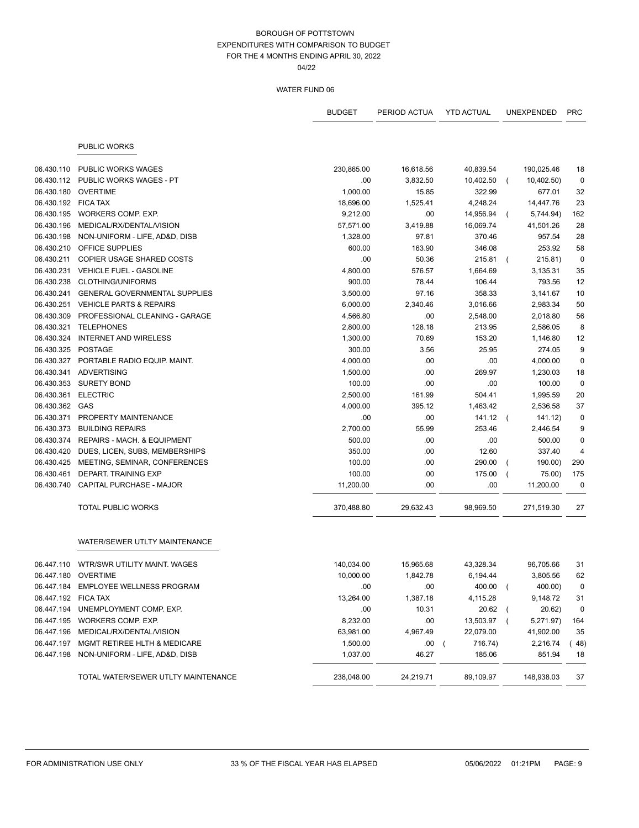04/22

|                     |                                         | <b>BUDGET</b> | PERIOD ACTUA | <b>YTD ACTUAL</b>     |                | <b>UNEXPENDED</b> | <b>PRC</b>     |
|---------------------|-----------------------------------------|---------------|--------------|-----------------------|----------------|-------------------|----------------|
|                     | <b>PUBLIC WORKS</b>                     |               |              |                       |                |                   |                |
| 06.430.110          | <b>PUBLIC WORKS WAGES</b>               | 230,865.00    | 16,618.56    | 40,839.54             |                | 190,025.46        | 18             |
| 06.430.112          | PUBLIC WORKS WAGES - PT                 | .00           | 3,832.50     | 10,402.50             |                | 10,402.50)        | $\mathbf 0$    |
| 06.430.180          | <b>OVERTIME</b>                         | 1,000.00      | 15.85        | 322.99                |                | 677.01            | 32             |
| 06.430.192          | <b>FICA TAX</b>                         | 18,696.00     | 1,525.41     | 4,248.24              |                | 14,447.76         | 23             |
| 06.430.195          | WORKERS COMP. EXP.                      | 9,212.00      | .00          | 14,956.94             | $\left($       | 5,744.94)         | 162            |
| 06.430.196          | MEDICAL/RX/DENTAL/VISION                | 57,571.00     | 3,419.88     | 16,069.74             |                | 41,501.26         | 28             |
| 06.430.198          | NON-UNIFORM - LIFE, AD&D, DISB          | 1,328.00      | 97.81        | 370.46                |                | 957.54            | 28             |
| 06.430.210          | <b>OFFICE SUPPLIES</b>                  | 600.00        | 163.90       | 346.08                |                | 253.92            | 58             |
| 06.430.211          | COPIER USAGE SHARED COSTS               | .00           | 50.36        | 215.81                |                | 215.81)           | $\mathbf 0$    |
| 06.430.231          | <b>VEHICLE FUEL - GASOLINE</b>          | 4,800.00      | 576.57       | 1,664.69              |                | 3,135.31          | 35             |
| 06.430.238          | CLOTHING/UNIFORMS                       | 900.00        | 78.44        | 106.44                |                | 793.56            | 12             |
| 06.430.241          | <b>GENERAL GOVERNMENTAL SUPPLIES</b>    | 3,500.00      | 97.16        | 358.33                |                | 3,141.67          | 10             |
| 06.430.251          | <b>VEHICLE PARTS &amp; REPAIRS</b>      | 6,000.00      | 2,340.46     | 3,016.66              |                | 2,983.34          | 50             |
| 06.430.309          | PROFESSIONAL CLEANING - GARAGE          | 4,566.80      | .00          | 2,548.00              |                | 2,018.80          | 56             |
| 06.430.321          | <b>TELEPHONES</b>                       | 2,800.00      | 128.18       | 213.95                |                | 2,586.05          | 8              |
| 06.430.324          | <b>INTERNET AND WIRELESS</b>            | 1,300.00      | 70.69        | 153.20                |                | 1,146.80          | 12             |
| 06.430.325          | <b>POSTAGE</b>                          | 300.00        | 3.56         | 25.95                 |                | 274.05            | 9              |
| 06.430.327          | PORTABLE RADIO EQUIP. MAINT.            | 4,000.00      | .00          | .00                   |                | 4,000.00          | $\mathbf 0$    |
|                     | 06.430.341 ADVERTISING                  | 1,500.00      | .00          | 269.97                |                | 1,230.03          | 18             |
| 06.430.353          | <b>SURETY BOND</b>                      | 100.00        | .00          | .00                   |                | 100.00            | $\mathbf 0$    |
| 06.430.361          | <b>ELECTRIC</b>                         | 2,500.00      | 161.99       | 504.41                |                | 1,995.59          | 20             |
| 06.430.362          | GAS                                     | 4,000.00      | 395.12       | 1,463.42              |                | 2,536.58          | 37             |
| 06.430.371          | PROPERTY MAINTENANCE                    | .00           | .00          | $141.12$ (            |                | 141.12)           | 0              |
| 06.430.373          | <b>BUILDING REPAIRS</b>                 | 2,700.00      | 55.99        | 253.46                |                | 2,446.54          | 9              |
| 06.430.374          | REPAIRS - MACH. & EQUIPMENT             | 500.00        | .00          | .00                   |                | 500.00            | $\mathbf 0$    |
| 06.430.420          | DUES, LICEN, SUBS, MEMBERSHIPS          | 350.00        | .00          | 12.60                 |                | 337.40            | $\overline{4}$ |
| 06.430.425          | MEETING, SEMINAR, CONFERENCES           | 100.00        | .00          | 290.00                |                | 190.00)           | 290            |
| 06.430.461          | DEPART. TRAINING EXP                    | 100.00        | .00          | 175.00                |                | 75.00)            | 175            |
| 06.430.740          | CAPITAL PURCHASE - MAJOR                | 11,200.00     | .00          | .00                   |                | 11,200.00         | 0              |
|                     | <b>TOTAL PUBLIC WORKS</b>               | 370,488.80    | 29,632.43    | 98,969.50             |                | 271,519.30        | 27             |
|                     | WATER/SEWER UTLTY MAINTENANCE           |               |              |                       |                |                   |                |
|                     | 06.447.110 WTR/SWR UTILITY MAINT. WAGES | 140,034.00    | 15.965.68    | 43,328.34             |                | 96,705.66         | 31             |
|                     | 06.447.180 OVERTIME                     | 10,000.00     | 1,842.78     | 6,194.44              |                | 3,805.56          | 62             |
|                     | 06.447.184 EMPLOYEE WELLNESS PROGRAM    | .00           | .00          | 400.00                | $\overline{ }$ | 400.00)           | 0              |
| 06.447.192 FICA TAX |                                         | 13,264.00     | 1,387.18     | 4,115.28              |                | 9,148.72          | 31             |
| 06.447.194          | UNEMPLOYMENT COMP. EXP.                 | .00           | 10.31        | 20.62                 |                | 20.62)            | $\mathbf 0$    |
| 06.447.195          | WORKERS COMP. EXP.                      | 8,232.00      | .00          | 13,503.97             | $\overline{ }$ | 5,271.97)         | 164            |
| 06.447.196          | MEDICAL/RX/DENTAL/VISION                | 63,981.00     | 4,967.49     | 22,079.00             |                | 41,902.00         | 35             |
| 06.447.197          | MGMT RETIREE HLTH & MEDICARE            | 1,500.00      | .00          | 716.74)<br>$\sqrt{2}$ |                | 2,216.74          | (48)           |
| 06.447.198          | NON-UNIFORM - LIFE, AD&D, DISB          | 1,037.00      | 46.27        | 185.06                |                | 851.94            | 18             |
|                     | TOTAL WATER/SEWER UTLTY MAINTENANCE     | 238,048.00    | 24,219.71    | 89,109.97             |                | 148,938.03        | 37             |
|                     |                                         |               |              |                       |                |                   |                |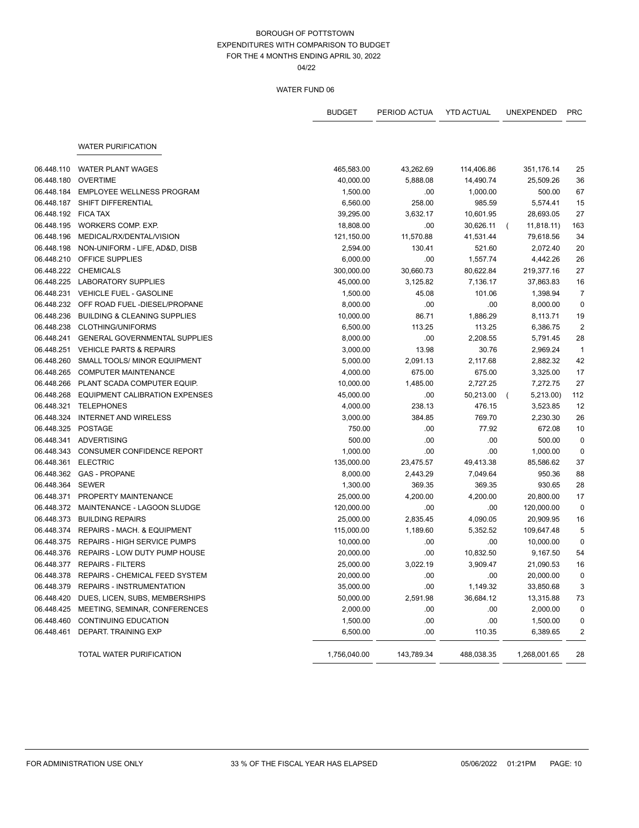04/22

|            |                                           | <b>BUDGET</b> | PERIOD ACTUA | <b>YTD ACTUAL</b> | <b>UNEXPENDED</b>           | <b>PRC</b>     |
|------------|-------------------------------------------|---------------|--------------|-------------------|-----------------------------|----------------|
|            | <b>WATER PURIFICATION</b>                 |               |              |                   |                             |                |
|            |                                           |               |              |                   |                             |                |
| 06.448.110 | <b>WATER PLANT WAGES</b>                  | 465,583.00    | 43,262.69    | 114,406.86        | 351,176.14                  | 25             |
| 06.448.180 | <b>OVERTIME</b>                           | 40,000.00     | 5,888.08     | 14,490.74         | 25,509.26                   | 36             |
| 06.448.184 | <b>EMPLOYEE WELLNESS PROGRAM</b>          | 1,500.00      | .00          | 1,000.00          | 500.00                      | 67             |
| 06.448.187 | SHIFT DIFFERENTIAL                        | 6,560.00      | 258.00       | 985.59            | 5,574.41                    | 15             |
| 06.448.192 | <b>FICA TAX</b>                           | 39,295.00     | 3,632.17     | 10,601.95         | 28,693.05                   | 27             |
| 06.448.195 | WORKERS COMP. EXP.                        | 18,808.00     | .00          | 30,626.11         | 11,818.11)<br>$\left($      | 163            |
| 06.448.196 | MEDICAL/RX/DENTAL/VISION                  | 121,150.00    | 11,570.88    | 41,531.44         | 79,618.56                   | 34             |
| 06.448.198 | NON-UNIFORM - LIFE, AD&D, DISB            | 2,594.00      | 130.41       | 521.60            | 2,072.40                    | 20             |
| 06.448.210 | OFFICE SUPPLIES                           | 6,000.00      | .00          | 1,557.74          | 4,442.26                    | 26             |
| 06.448.222 | <b>CHEMICALS</b>                          | 300,000.00    | 30,660.73    | 80,622.84         | 219,377.16                  | 27             |
| 06.448.225 | <b>LABORATORY SUPPLIES</b>                | 45,000.00     | 3,125.82     | 7,136.17          | 37,863.83                   | 16             |
| 06.448.231 | <b>VEHICLE FUEL - GASOLINE</b>            | 1,500.00      | 45.08        | 101.06            | 1,398.94                    | $\overline{7}$ |
| 06.448.232 | OFF ROAD FUEL-DIESEL/PROPANE              | 8,000.00      | .00          | .00               | 8,000.00                    | $\mathbf 0$    |
| 06.448.236 | <b>BUILDING &amp; CLEANING SUPPLIES</b>   | 10,000.00     | 86.71        | 1,886.29          | 8,113.71                    | 19             |
| 06.448.238 | CLOTHING/UNIFORMS                         | 6,500.00      | 113.25       | 113.25            | 6,386.75                    | $\overline{2}$ |
| 06.448.241 | <b>GENERAL GOVERNMENTAL SUPPLIES</b>      | 8,000.00      | .00          | 2,208.55          | 5,791.45                    | 28             |
| 06.448.251 | <b>VEHICLE PARTS &amp; REPAIRS</b>        | 3,000.00      | 13.98        | 30.76             | 2,969.24                    | $\overline{1}$ |
| 06.448.260 | SMALL TOOLS/ MINOR EQUIPMENT              | 5,000.00      | 2,091.13     | 2,117.68          | 2,882.32                    | 42             |
| 06.448.265 | <b>COMPUTER MAINTENANCE</b>               | 4,000.00      | 675.00       | 675.00            | 3,325.00                    | 17             |
| 06.448.266 | PLANT SCADA COMPUTER EQUIP.               | 10,000.00     | 1,485.00     | 2,727.25          | 7,272.75                    | 27             |
| 06.448.268 | EQUIPMENT CALIBRATION EXPENSES            | 45,000.00     | .00          | 50,213.00         | 5,213.00)<br>$\overline{ }$ | 112            |
| 06.448.321 | <b>TELEPHONES</b>                         | 4,000.00      | 238.13       | 476.15            | 3,523.85                    | 12             |
| 06.448.324 | <b>INTERNET AND WIRELESS</b>              | 3,000.00      | 384.85       | 769.70            | 2,230.30                    | 26             |
| 06.448.325 | POSTAGE                                   | 750.00        | .00          | 77.92             | 672.08                      | 10             |
| 06.448.341 | ADVERTISING                               | 500.00        | .00          | .00               | 500.00                      | $\mathbf 0$    |
| 06.448.343 | CONSUMER CONFIDENCE REPORT                | 1,000.00      | .00          | .00               | 1,000.00                    | $\mathbf 0$    |
| 06.448.361 | <b>ELECTRIC</b>                           | 135,000.00    | 23,475.57    | 49,413.38         | 85,586.62                   | 37             |
| 06.448.362 | <b>GAS - PROPANE</b>                      | 8,000.00      | 2,443.29     | 7,049.64          | 950.36                      | 88             |
| 06.448.364 | <b>SEWER</b>                              | 1,300.00      | 369.35       | 369.35            | 930.65                      | 28             |
| 06.448.371 | PROPERTY MAINTENANCE                      | 25,000.00     | 4,200.00     | 4,200.00          | 20,800.00                   | 17             |
| 06.448.372 | MAINTENANCE - LAGOON SLUDGE               | 120,000.00    | .00          | .00               | 120,000.00                  | 0              |
| 06.448.373 | <b>BUILDING REPAIRS</b>                   | 25,000.00     | 2,835.45     | 4,090.05          | 20,909.95                   | 16             |
| 06.448.374 | REPAIRS - MACH. & EQUIPMENT               | 115,000.00    | 1,189.60     | 5,352.52          | 109,647.48                  | 5              |
| 06.448.375 | <b>REPAIRS - HIGH SERVICE PUMPS</b>       | 10,000.00     | .00          | .00               | 10,000.00                   | $\mathbf 0$    |
| 06.448.376 | REPAIRS - LOW DUTY PUMP HOUSE             | 20,000.00     | .00          | 10,832.50         | 9,167.50                    | 54             |
|            | 06.448.377 REPAIRS - FILTERS              | 25,000.00     | 3,022.19     | 3,909.47          | 21,090.53                   | 16             |
|            | 06.448.378 REPAIRS - CHEMICAL FEED SYSTEM | 20,000.00     |              |                   | 20,000.00                   | 0              |
|            | 06.448.379 REPAIRS - INSTRUMENTATION      | 35,000.00     | .00<br>.00   | .00<br>1,149.32   | 33,850.68                   | 3              |
| 06.448.420 | DUES, LICEN, SUBS, MEMBERSHIPS            | 50,000.00     | 2,591.98     | 36,684.12         |                             |                |
|            |                                           |               |              |                   | 13,315.88                   | 73             |
| 06.448.425 | MEETING, SEMINAR, CONFERENCES             | 2,000.00      | .00          | .00               | 2,000.00                    | $\pmb{0}$      |
| 06.448.460 | <b>CONTINUING EDUCATION</b>               | 1,500.00      | .00          | .00               | 1,500.00                    | 0              |
| 06.448.461 | DEPART. TRAINING EXP                      | 6,500.00      | .00          | 110.35            | 6,389.65                    | 2              |
|            | <b>TOTAL WATER PURIFICATION</b>           | 1,756,040.00  | 143,789.34   | 488,038.35        | 1,268,001.65                | 28             |
|            |                                           |               |              |                   |                             |                |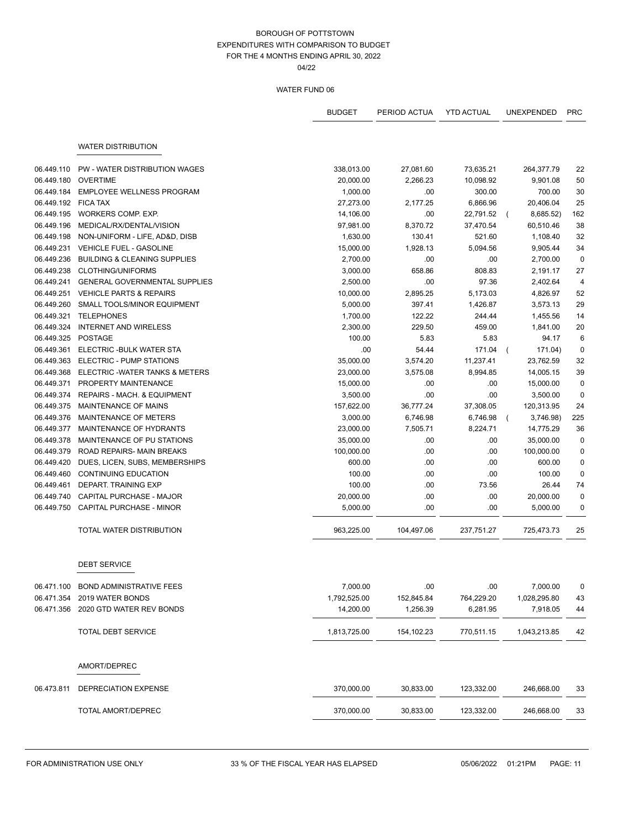04/22

|            |                                         | <b>BUDGET</b> | PERIOD ACTUA | <b>YTD ACTUAL</b> | <b>UNEXPENDED</b>         | <b>PRC</b>  |
|------------|-----------------------------------------|---------------|--------------|-------------------|---------------------------|-------------|
|            |                                         |               |              |                   |                           |             |
|            | <b>WATER DISTRIBUTION</b>               |               |              |                   |                           |             |
| 06.449.110 | PW - WATER DISTRIBUTION WAGES           | 338,013.00    | 27,081.60    | 73,635.21         | 264,377.79                | 22          |
| 06.449.180 | <b>OVERTIME</b>                         | 20,000.00     | 2,266.23     | 10,098.92         | 9,901.08                  | 50          |
| 06.449.184 | <b>EMPLOYEE WELLNESS PROGRAM</b>        | 1,000.00      | .00          | 300.00            | 700.00                    | 30          |
| 06.449.192 | <b>FICA TAX</b>                         | 27,273.00     | 2,177.25     | 6,866.96          | 20,406.04                 | 25          |
| 06.449.195 | WORKERS COMP. EXP.                      | 14,106.00     | .00          | 22,791.52         | 8,685.52)<br>$\left($     | 162         |
| 06.449.196 | MEDICAL/RX/DENTAL/VISION                | 97,981.00     | 8,370.72     | 37,470.54         | 60,510.46                 | 38          |
| 06.449.198 | NON-UNIFORM - LIFE, AD&D, DISB          | 1,630.00      | 130.41       | 521.60            | 1,108.40                  | 32          |
| 06.449.231 | <b>VEHICLE FUEL - GASOLINE</b>          | 15,000.00     | 1,928.13     | 5,094.56          | 9,905.44                  | 34          |
| 06.449.236 | <b>BUILDING &amp; CLEANING SUPPLIES</b> | 2,700.00      | .00          | .00               | 2,700.00                  | $\mathbf 0$ |
| 06.449.238 | CLOTHING/UNIFORMS                       | 3,000.00      | 658.86       | 808.83            | 2,191.17                  | 27          |
| 06.449.241 | <b>GENERAL GOVERNMENTAL SUPPLIES</b>    | 2,500.00      | .00          | 97.36             | 2,402.64                  | 4           |
| 06.449.251 | <b>VEHICLE PARTS &amp; REPAIRS</b>      | 10,000.00     | 2,895.25     | 5,173.03          | 4,826.97                  | 52          |
| 06.449.260 | SMALL TOOLS/MINOR EQUIPMENT             | 5,000.00      | 397.41       | 1,426.87          | 3,573.13                  | 29          |
| 06.449.321 | <b>TELEPHONES</b>                       | 1,700.00      | 122.22       | 244.44            | 1,455.56                  | 14          |
| 06.449.324 | <b>INTERNET AND WIRELESS</b>            | 2,300.00      | 229.50       | 459.00            | 1,841.00                  | 20          |
| 06.449.325 | <b>POSTAGE</b>                          | 100.00        | 5.83         | 5.83              | 94.17                     | 6           |
| 06.449.361 | ELECTRIC - BULK WATER STA               | .00           | 54.44        | 171.04            | 171.04)<br>$\overline{ }$ | $\mathbf 0$ |
| 06.449.363 | ELECTRIC - PUMP STATIONS                | 35,000.00     | 3,574.20     | 11,237.41         | 23,762.59                 | 32          |
| 06.449.368 | ELECTRIC - WATER TANKS & METERS         | 23,000.00     | 3,575.08     | 8,994.85          | 14,005.15                 | 39          |
| 06.449.371 | PROPERTY MAINTENANCE                    | 15,000.00     | .00          | .00               | 15,000.00                 | $\mathbf 0$ |
| 06.449.374 | REPAIRS - MACH. & EQUIPMENT             | 3,500.00      | .00          | .00               | 3,500.00                  | $\mathbf 0$ |
| 06.449.375 | MAINTENANCE OF MAINS                    | 157,622.00    | 36,777.24    | 37,308.05         | 120,313.95                | 24          |
| 06.449.376 | MAINTENANCE OF METERS                   | 3,000.00      | 6,746.98     | 6,746.98          | 3,746.98)<br>$\left($     | 225         |
| 06.449.377 | MAINTENANCE OF HYDRANTS                 | 23,000.00     | 7,505.71     | 8,224.71          | 14,775.29                 | 36          |
| 06.449.378 | MAINTENANCE OF PU STATIONS              | 35,000.00     | .00          | .00               | 35,000.00                 | $\mathbf 0$ |
| 06.449.379 | ROAD REPAIRS- MAIN BREAKS               | 100,000.00    | .00          | .00.              | 100,000.00                | $\mathbf 0$ |
| 06.449.420 | DUES, LICEN, SUBS, MEMBERSHIPS          | 600.00        | .00          | .00               | 600.00                    | $\pmb{0}$   |
| 06.449.460 | <b>CONTINUING EDUCATION</b>             | 100.00        | .00          | .00               | 100.00                    | $\pmb{0}$   |
| 06.449.461 | DEPART. TRAINING EXP                    | 100.00        | .00          | 73.56             | 26.44                     | 74          |
| 06.449.740 | CAPITAL PURCHASE - MAJOR                | 20,000.00     | .00          | .00               | 20,000.00                 | $\mathbf 0$ |
| 06.449.750 | CAPITAL PURCHASE - MINOR                | 5,000.00      | .00          | .00               | 5,000.00                  | $\mathbf 0$ |
|            | TOTAL WATER DISTRIBUTION                | 963,225.00    | 104,497.06   | 237,751.27        | 725,473.73                | 25          |
|            | <b>DEBT SERVICE</b>                     |               |              |                   |                           |             |
| 06.471.100 | <b>BOND ADMINISTRATIVE FEES</b>         | 7,000.00      | .00          | .00.              | 7,000.00                  | $\pmb{0}$   |
| 06.471.354 | 2019 WATER BONDS                        | 1,792,525.00  | 152,845.84   | 764,229.20        | 1,028,295.80              | 43          |
| 06.471.356 | 2020 GTD WATER REV BONDS                | 14,200.00     | 1,256.39     | 6,281.95          | 7,918.05                  | 44          |
|            | <b>TOTAL DEBT SERVICE</b>               | 1,813,725.00  | 154,102.23   | 770,511.15        | 1,043,213.85              | 42          |
|            | AMORT/DEPREC                            |               |              |                   |                           |             |
| 06.473.811 | DEPRECIATION EXPENSE                    | 370,000.00    | 30,833.00    | 123,332.00        | 246,668.00                | 33          |
|            | TOTAL AMORT/DEPREC                      | 370,000.00    | 30,833.00    | 123,332.00        | 246,668.00                | 33          |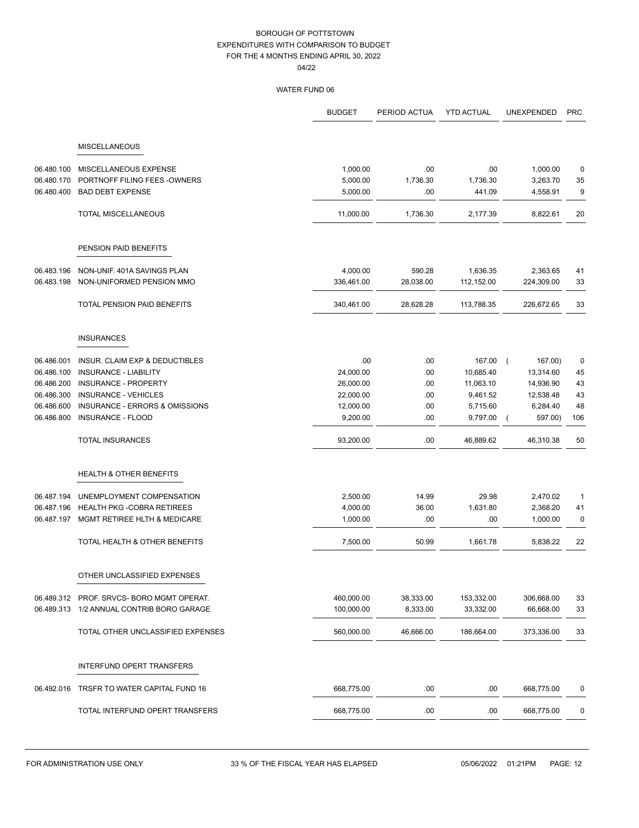|            |                                           | <b>BUDGET</b> | PERIOD ACTUA | <b>YTD ACTUAL</b> | <b>UNEXPENDED</b>   | <b>PRC</b>  |
|------------|-------------------------------------------|---------------|--------------|-------------------|---------------------|-------------|
|            |                                           |               |              |                   |                     |             |
|            | <b>MISCELLANEOUS</b>                      |               |              |                   |                     |             |
| 06.480.100 | MISCELLANEOUS EXPENSE                     | 1,000.00      | .00          | .00               | 1,000.00            | 0           |
| 06.480.170 | PORTNOFF FILING FEES - OWNERS             | 5,000.00      | 1,736.30     | 1,736.30          | 3,263.70            | 35          |
| 06.480.400 | <b>BAD DEBT EXPENSE</b>                   | 5,000.00      | .00          | 441.09            | 4,558.91            | 9           |
|            | <b>TOTAL MISCELLANEOUS</b>                | 11,000.00     | 1,736.30     | 2,177.39          | 8,822.61            | 20          |
|            | PENSION PAID BENEFITS                     |               |              |                   |                     |             |
|            |                                           |               |              |                   |                     |             |
| 06.483.196 | NON-UNIF. 401A SAVINGS PLAN               | 4,000.00      | 590.28       | 1,636.35          | 2,363.65            | 41          |
| 06.483.198 | NON-UNIFORMED PENSION MMO                 | 336,461.00    | 28,038.00    | 112,152.00        | 224,309.00          | 33          |
|            | TOTAL PENSION PAID BENEFITS               | 340,461.00    | 28,628.28    | 113,788.35        | 226,672.65          | 33          |
|            | <b>INSURANCES</b>                         |               |              |                   |                     |             |
| 06.486.001 | INSUR. CLAIM EXP & DEDUCTIBLES            | .00           | .00          | 167.00            | 167.00)<br>$\left($ | 0           |
| 06.486.100 | <b>INSURANCE - LIABILITY</b>              | 24,000.00     | .00          | 10,685.40         | 13,314.60           | 45          |
| 06.486.200 | INSURANCE - PROPERTY                      | 26,000.00     | .00          | 11,063.10         | 14,936.90           | 43          |
| 06.486.300 | <b>INSURANCE - VEHICLES</b>               | 22,000.00     | .00.         | 9,461.52          | 12,538.48           | 43          |
| 06.486.600 | INSURANCE - ERRORS & OMISSIONS            | 12,000.00     | .00.         | 5,715.60          | 6,284.40            | 48          |
| 06.486.800 | <b>INSURANCE - FLOOD</b>                  | 9,200.00      | .00.         | 9,797.00          | 597.00)             | 106         |
|            | <b>TOTAL INSURANCES</b>                   | 93,200.00     | .00.         | 46,889.62         | 46,310.38           | 50          |
|            | <b>HEALTH &amp; OTHER BENEFITS</b>        |               |              |                   |                     |             |
| 06.487.194 | UNEMPLOYMENT COMPENSATION                 | 2,500.00      | 14.99        | 29.98             | 2,470.02            | $\mathbf 1$ |
| 06.487.196 | <b>HEALTH PKG -COBRA RETIREES</b>         | 4,000.00      | 36.00        | 1,631.80          | 2,368.20            | 41          |
| 06.487.197 | MGMT RETIREE HLTH & MEDICARE              | 1,000.00      | .00.         | .00               | 1,000.00            | 0           |
|            | TOTAL HEALTH & OTHER BENEFITS             | 7,500.00      | 50.99        | 1,661.78          | 5,838.22            | 22          |
|            | OTHER UNCLASSIFIED EXPENSES               |               |              |                   |                     |             |
|            | 06.489.312 PROF. SRVCS-BORO MGMT OPERAT.  | 460,000.00    | 38,333.00    | 153,332.00        | 306,668.00          | 33          |
|            | 06.489.313 1/2 ANNUAL CONTRIB BORO GARAGE | 100,000.00    | 8,333.00     | 33,332.00         | 66,668.00           | 33          |
|            | TOTAL OTHER UNCLASSIFIED EXPENSES         | 560,000.00    | 46.666.00    | 186,664.00        | 373,336.00          | 33          |
|            | INTERFUND OPERT TRANSFERS                 |               |              |                   |                     |             |
| 06.492.016 | TRSFR TO WATER CAPITAL FUND 16            | 668,775.00    | .00.         | .00.              | 668,775.00          | 0           |
|            | TOTAL INTERFUND OPERT TRANSFERS           | 668,775.00    | .00          | .00               | 668,775.00          | 0           |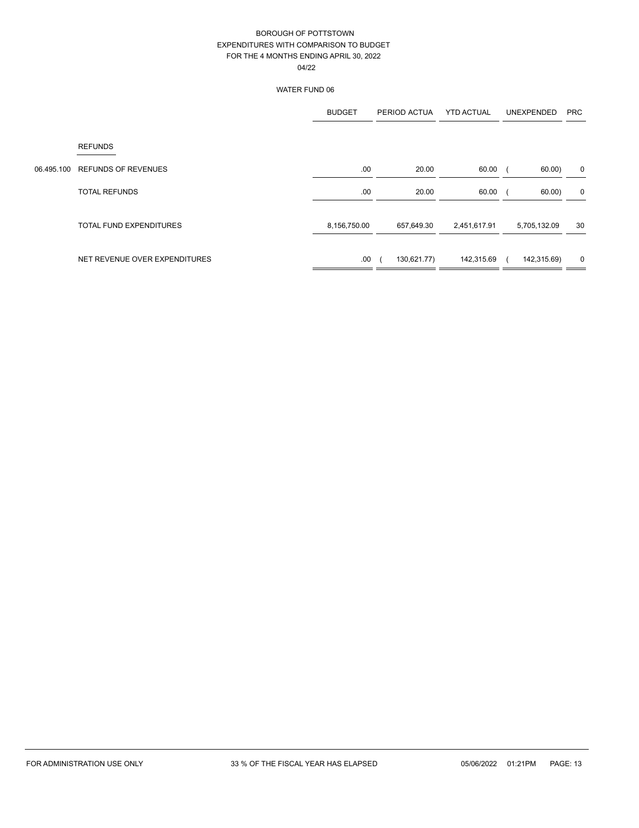|            |                                | <b>BUDGET</b> | PERIOD ACTUA | <b>YTD ACTUAL</b> | UNEXPENDED   | <b>PRC</b>  |
|------------|--------------------------------|---------------|--------------|-------------------|--------------|-------------|
|            | <b>REFUNDS</b>                 |               |              |                   |              |             |
| 06.495.100 | <b>REFUNDS OF REVENUES</b>     | .00           | 20.00        | 60.00             | 60.00)       | 0           |
|            | <b>TOTAL REFUNDS</b>           | .00           | 20.00        | 60.00             | 60.00)       | 0           |
|            | <b>TOTAL FUND EXPENDITURES</b> | 8,156,750.00  | 657,649.30   | 2,451,617.91      | 5,705,132.09 | 30          |
|            | NET REVENUE OVER EXPENDITURES  | .00           | 130,621.77)  | 142,315.69        | 142,315.69)  | $\mathbf 0$ |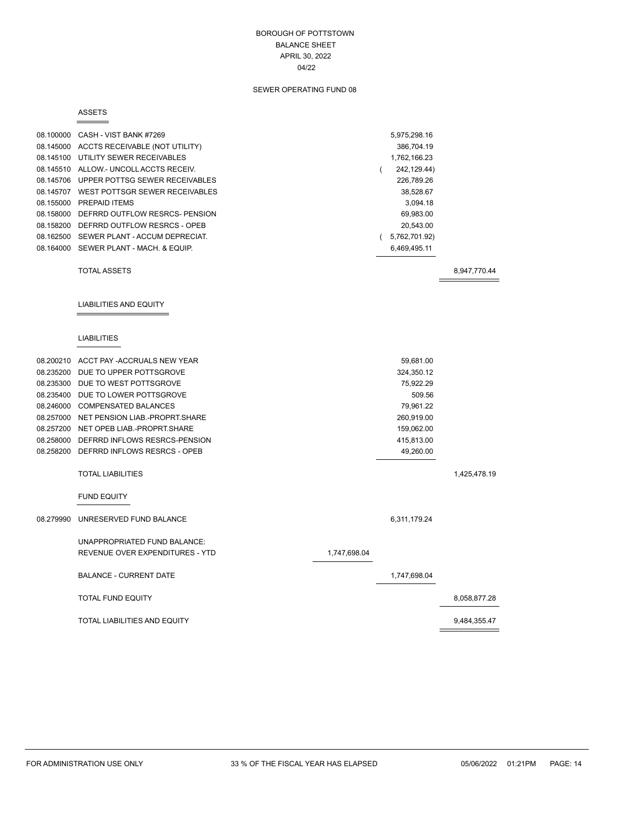### BOROUGH OF POTTSTOWN BALANCE SHEET APRIL 30, 2022 04/22

### SEWER OPERATING FUND 08

#### ASSETS

|           | 08.100000 CASH - VIST BANK #7269         |              | 5,975,298.16            |              |
|-----------|------------------------------------------|--------------|-------------------------|--------------|
|           | 08.145000 ACCTS RECEIVABLE (NOT UTILITY) |              | 386,704.19              |              |
|           | 08.145100 UTILITY SEWER RECEIVABLES      |              | 1,762,166.23            |              |
|           | 08.145510 ALLOW - UNCOLL ACCTS RECEIV.   |              | 242,129.44)<br>$\left($ |              |
|           | 08.145706 UPPER POTTSG SEWER RECEIVABLES |              | 226,789.26              |              |
|           | 08.145707 WEST POTTSGR SEWER RECEIVABLES |              | 38,528.67               |              |
|           | 08.155000 PREPAID ITEMS                  |              | 3,094.18                |              |
|           | 08.158000 DEFRRD OUTFLOW RESRCS- PENSION |              | 69,983.00               |              |
|           | 08.158200 DEFRRD OUTFLOW RESRCS - OPEB   |              | 20,543.00               |              |
|           | 08.162500 SEWER PLANT - ACCUM DEPRECIAT. |              | (5,762,701.92)          |              |
|           | 08.164000 SEWER PLANT - MACH. & EQUIP.   |              | 6,469,495.11            |              |
|           | <b>TOTAL ASSETS</b>                      |              |                         | 8,947,770.44 |
|           |                                          |              |                         |              |
|           | <b>LIABILITIES AND EQUITY</b>            |              |                         |              |
|           | <b>LIABILITIES</b>                       |              |                         |              |
|           | 08.200210 ACCT PAY -ACCRUALS NEW YEAR    |              | 59,681.00               |              |
|           | 08.235200 DUE TO UPPER POTTSGROVE        |              | 324,350.12              |              |
|           | 08.235300 DUE TO WEST POTTSGROVE         |              | 75,922.29               |              |
|           | 08.235400 DUE TO LOWER POTTSGROVE        |              | 509.56                  |              |
|           | 08.246000 COMPENSATED BALANCES           |              | 79,961.22               |              |
|           | 08.257000 NET PENSION LIAB.-PROPRT.SHARE |              | 260,919.00              |              |
|           | 08.257200 NET OPEB LIAB.-PROPRT.SHARE    |              | 159,062.00              |              |
|           | 08.258000 DEFRRD INFLOWS RESRCS-PENSION  |              | 415,813.00              |              |
|           | 08.258200 DEFRRD INFLOWS RESRCS - OPEB   |              | 49,260.00               |              |
|           |                                          |              |                         |              |
|           | <b>TOTAL LIABILITIES</b>                 |              |                         | 1,425,478.19 |
|           | <b>FUND EQUITY</b>                       |              |                         |              |
| 08.279990 | UNRESERVED FUND BALANCE                  |              | 6,311,179.24            |              |
|           | UNAPPROPRIATED FUND BALANCE:             |              |                         |              |
|           | REVENUE OVER EXPENDITURES - YTD          | 1,747,698.04 |                         |              |
|           | <b>BALANCE - CURRENT DATE</b>            |              | 1,747,698.04            |              |
|           | <b>TOTAL FUND EQUITY</b>                 |              |                         | 8,058,877.28 |
|           | TOTAL LIABILITIES AND EQUITY             |              |                         | 9,484,355.47 |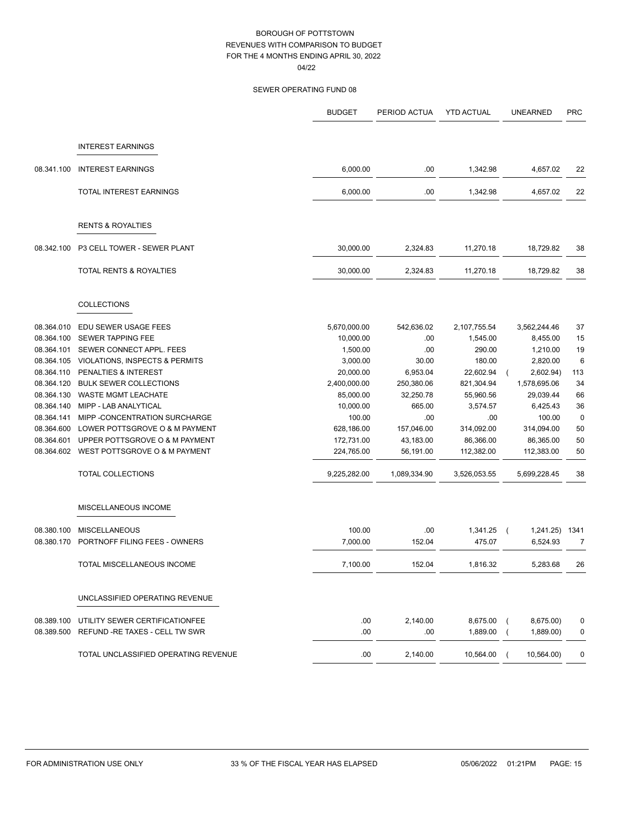|            |                                      | <b>BUDGET</b> | PERIOD ACTUA | <b>YTD ACTUAL</b> | UNEARNED     | <b>PRC</b>  |
|------------|--------------------------------------|---------------|--------------|-------------------|--------------|-------------|
|            |                                      |               |              |                   |              |             |
|            | <b>INTEREST EARNINGS</b>             |               |              |                   |              |             |
| 08.341.100 | <b>INTEREST EARNINGS</b>             | 6,000.00      | .00          | 1,342.98          | 4,657.02     | 22          |
|            | TOTAL INTEREST EARNINGS              | 6,000.00      | .00          | 1,342.98          | 4,657.02     | 22          |
|            | <b>RENTS &amp; ROYALTIES</b>         |               |              |                   |              |             |
| 08.342.100 | P3 CELL TOWER - SEWER PLANT          | 30,000.00     | 2,324.83     | 11,270.18         | 18,729.82    | 38          |
|            | TOTAL RENTS & ROYALTIES              | 30,000.00     | 2,324.83     | 11,270.18         | 18,729.82    | 38          |
|            | <b>COLLECTIONS</b>                   |               |              |                   |              |             |
| 08.364.010 | EDU SEWER USAGE FEES                 | 5,670,000.00  | 542,636.02   | 2,107,755.54      | 3,562,244.46 | 37          |
| 08.364.100 | <b>SEWER TAPPING FEE</b>             | 10,000.00     | .00          | 1,545.00          | 8,455.00     | 15          |
| 08.364.101 | SEWER CONNECT APPL. FEES             | 1,500.00      | .00          | 290.00            | 1,210.00     | 19          |
| 08.364.105 | VIOLATIONS, INSPECTS & PERMITS       | 3,000.00      | 30.00        | 180.00            | 2,820.00     | 6           |
| 08.364.110 | PENALTIES & INTEREST                 | 20,000.00     | 6,953.04     | 22,602.94         | 2,602.94)    | 113         |
| 08.364.120 | <b>BULK SEWER COLLECTIONS</b>        | 2,400,000.00  | 250,380.06   | 821,304.94        | 1,578,695.06 | 34          |
| 08.364.130 | <b>WASTE MGMT LEACHATE</b>           | 85,000.00     | 32,250.78    | 55,960.56         | 29,039.44    | 66          |
| 08.364.140 | MIPP - LAB ANALYTICAL                | 10,000.00     | 665.00       | 3,574.57          | 6,425.43     | 36          |
| 08.364.141 | MIPP - CONCENTRATION SURCHARGE       | 100.00        | .00          | .00               | 100.00       | $\mathbf 0$ |
| 08.364.600 | LOWER POTTSGROVE O & M PAYMENT       | 628,186.00    | 157,046.00   | 314,092.00        | 314,094.00   | 50          |
| 08.364.601 | UPPER POTTSGROVE O & M PAYMENT       | 172,731.00    | 43,183.00    | 86,366.00         | 86,365.00    | 50          |
| 08.364.602 | WEST POTTSGROVE O & M PAYMENT        | 224,765.00    | 56,191.00    | 112,382.00        | 112,383.00   | 50          |
|            | TOTAL COLLECTIONS                    | 9,225,282.00  | 1,089,334.90 | 3,526,053.55      | 5,699,228.45 | 38          |
|            | MISCELLANEOUS INCOME                 |               |              |                   |              |             |
| 08.380.100 | <b>MISCELLANEOUS</b>                 | 100.00        | .00          | 1,341.25          | 1,241.25)    | 1341        |
| 08.380.170 | PORTNOFF FILING FEES - OWNERS        | 7.000.00      | 152.04       | 475.07            | 6,524.93     | 7           |
|            | TOTAL MISCELLANEOUS INCOME           | 7,100.00      | 152.04       | 1,816.32          | 5,283.68     | 26          |
|            | UNCLASSIFIED OPERATING REVENUE       |               |              |                   |              |             |
| 08.389.100 | UTILITY SEWER CERTIFICATIONFEE       | .00.          | 2,140.00     | 8,675.00          | 8,675.00)    | 0           |
| 08.389.500 | REFUND - RE TAXES - CELL TW SWR      | .00           | .00          | 1,889.00          | 1,889.00)    | 0           |
|            | TOTAL UNCLASSIFIED OPERATING REVENUE | .00           | 2,140.00     | 10,564.00         | 10,564.00)   | 0           |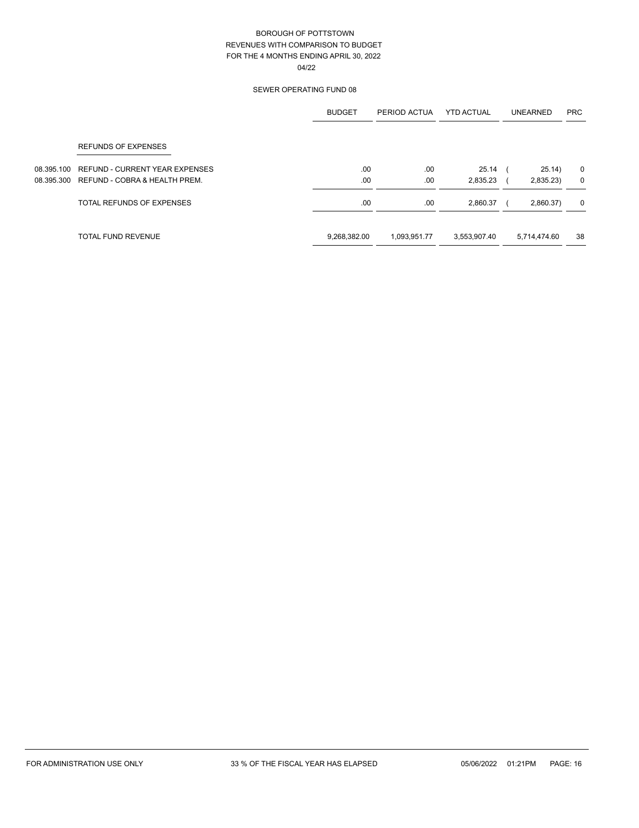|            |                                       | <b>BUDGET</b> | PERIOD ACTUA | <b>YTD ACTUAL</b> | UNEARNED     | <b>PRC</b> |
|------------|---------------------------------------|---------------|--------------|-------------------|--------------|------------|
|            | <b>REFUNDS OF EXPENSES</b>            |               |              |                   |              |            |
| 08.395.100 | <b>REFUND - CURRENT YEAR EXPENSES</b> | .00           | .00          | 25.14             | 25.14)       | 0          |
| 08.395.300 | REFUND - COBRA & HEALTH PREM.         | .00           | .00.         | 2,835.23          | 2,835.23)    | 0          |
|            | TOTAL REFUNDS OF EXPENSES             | .00           | .00.         | 2,860.37          | 2,860.37)    | 0          |
|            | <b>TOTAL FUND REVENUE</b>             | 9,268,382.00  | 1,093,951.77 | 3,553,907.40      | 5,714,474.60 | 38         |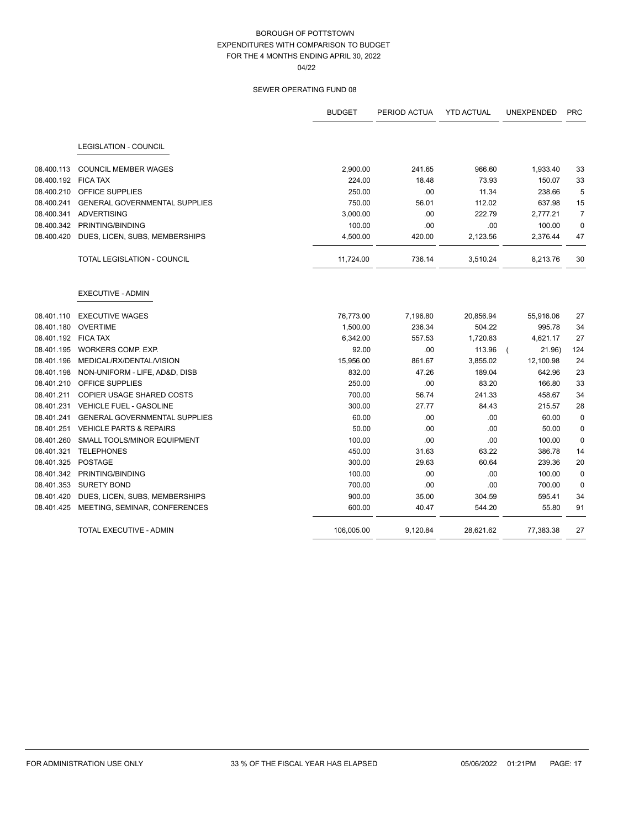|                     |                                      | <b>BUDGET</b> | PERIOD ACTUA | <b>YTD ACTUAL</b> | UNEXPENDED | <b>PRC</b>     |
|---------------------|--------------------------------------|---------------|--------------|-------------------|------------|----------------|
|                     | <b>LEGISLATION - COUNCIL</b>         |               |              |                   |            |                |
| 08.400.113          | <b>COUNCIL MEMBER WAGES</b>          | 2,900.00      | 241.65       | 966.60            | 1,933.40   | 33             |
| 08.400.192          | <b>FICA TAX</b>                      | 224.00        | 18.48        | 73.93             | 150.07     | 33             |
| 08.400.210          | OFFICE SUPPLIES                      | 250.00        | .00          | 11.34             | 238.66     | 5              |
| 08.400.241          | <b>GENERAL GOVERNMENTAL SUPPLIES</b> | 750.00        | 56.01        | 112.02            | 637.98     | 15             |
| 08.400.341          | <b>ADVERTISING</b>                   | 3,000.00      | .00          | 222.79            | 2,777.21   | $\overline{7}$ |
| 08.400.342          | PRINTING/BINDING                     | 100.00        | .00          | .00               | 100.00     | $\mathbf 0$    |
| 08.400.420          | DUES, LICEN, SUBS, MEMBERSHIPS       | 4,500.00      | 420.00       | 2,123.56          | 2,376.44   | 47             |
|                     | TOTAL LEGISLATION - COUNCIL          | 11,724.00     | 736.14       | 3,510.24          | 8,213.76   | 30             |
|                     | <b>EXECUTIVE - ADMIN</b>             |               |              |                   |            |                |
| 08.401.110          | <b>EXECUTIVE WAGES</b>               | 76,773.00     | 7,196.80     | 20,856.94         | 55,916.06  | 27             |
| 08.401.180          | <b>OVERTIME</b>                      | 1,500.00      | 236.34       | 504.22            | 995.78     | 34             |
| 08.401.192 FICA TAX |                                      | 6,342.00      | 557.53       | 1,720.83          | 4,621.17   | 27             |
| 08.401.195          | WORKERS COMP. EXP.                   | 92.00         | .00          | 113.96            | 21.96)     | 124            |
| 08.401.196          | MEDICAL/RX/DENTAL/VISION             | 15,956.00     | 861.67       | 3,855.02          | 12,100.98  | 24             |
| 08.401.198          | NON-UNIFORM - LIFE, AD&D, DISB       | 832.00        | 47.26        | 189.04            | 642.96     | 23             |
| 08.401.210          | OFFICE SUPPLIES                      | 250.00        | .00          | 83.20             | 166.80     | 33             |
| 08.401.211          | <b>COPIER USAGE SHARED COSTS</b>     | 700.00        | 56.74        | 241.33            | 458.67     | 34             |
| 08.401.231          | <b>VEHICLE FUEL - GASOLINE</b>       | 300.00        | 27.77        | 84.43             | 215.57     | 28             |
| 08.401.241          | <b>GENERAL GOVERNMENTAL SUPPLIES</b> | 60.00         | .00          | .00               | 60.00      | 0              |
| 08.401.251          | <b>VEHICLE PARTS &amp; REPAIRS</b>   | 50.00         | .00          | .00               | 50.00      | 0              |
| 08.401.260          | <b>SMALL TOOLS/MINOR EQUIPMENT</b>   | 100.00        | .00          | .00               | 100.00     | $\mathbf 0$    |
| 08.401.321          | <b>TELEPHONES</b>                    | 450.00        | 31.63        | 63.22             | 386.78     | 14             |
| 08.401.325          | <b>POSTAGE</b>                       | 300.00        | 29.63        | 60.64             | 239.36     | 20             |
| 08.401.342          | PRINTING/BINDING                     | 100.00        | .00          | .00               | 100.00     | $\mathbf 0$    |
| 08.401.353          | <b>SURETY BOND</b>                   | 700.00        | .00          | .00               | 700.00     | 0              |
| 08.401.420          | DUES, LICEN, SUBS, MEMBERSHIPS       | 900.00        | 35.00        | 304.59            | 595.41     | 34             |
| 08.401.425          | MEETING, SEMINAR, CONFERENCES        | 600.00        | 40.47        | 544.20            | 55.80      | 91             |
|                     | <b>TOTAL EXECUTIVE - ADMIN</b>       | 106,005.00    | 9,120.84     | 28,621.62         | 77,383.38  | 27             |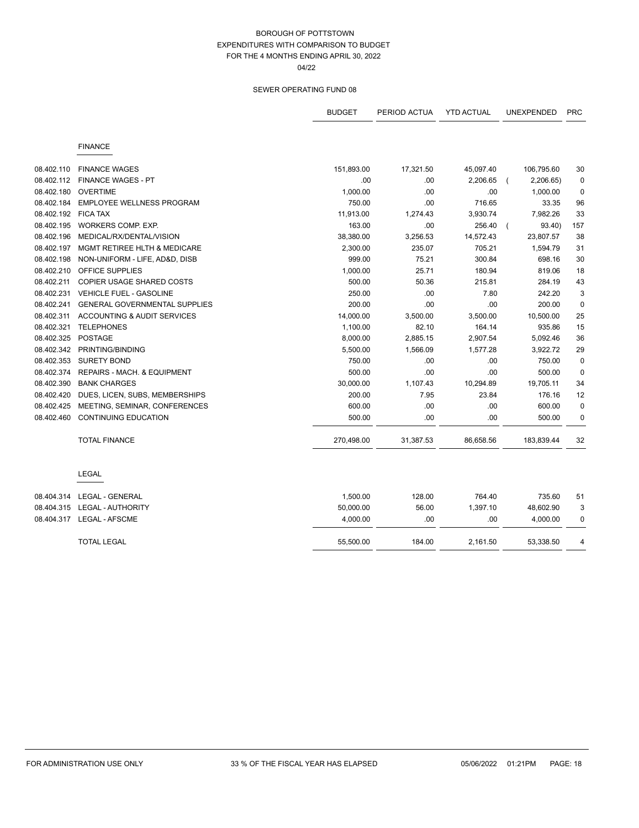04/22

|            |                                      | <b>BUDGET</b> | PERIOD ACTUA | <b>YTD ACTUAL</b> | <b>UNEXPENDED</b> | <b>PRC</b>  |
|------------|--------------------------------------|---------------|--------------|-------------------|-------------------|-------------|
|            | <b>FINANCE</b>                       |               |              |                   |                   |             |
| 08.402.110 | <b>FINANCE WAGES</b>                 | 151,893.00    | 17,321.50    | 45,097.40         | 106,795.60        | 30          |
| 08.402.112 | <b>FINANCE WAGES - PT</b>            | .00           | .00          | 2,206.65          | 2,206.65)         | 0           |
| 08.402.180 | <b>OVERTIME</b>                      | 1,000.00      | .00          | .00               | 1,000.00          | 0           |
| 08.402.184 | EMPLOYEE WELLNESS PROGRAM            | 750.00        | .00          | 716.65            | 33.35             | 96          |
| 08.402.192 | <b>FICA TAX</b>                      | 11,913.00     | 1,274.43     | 3,930.74          | 7,982.26          | 33          |
| 08.402.195 | WORKERS COMP. EXP.                   | 163.00        | .00          | 256.40            | 93.40)            | 157         |
| 08.402.196 | MEDICAL/RX/DENTAL/VISION             | 38,380.00     | 3,256.53     | 14,572.43         | 23,807.57         | 38          |
| 08.402.197 | MGMT RETIREE HLTH & MEDICARE         | 2,300.00      | 235.07       | 705.21            | 1,594.79          | 31          |
| 08.402.198 | NON-UNIFORM - LIFE, AD&D, DISB       | 999.00        | 75.21        | 300.84            | 698.16            | 30          |
| 08.402.210 | <b>OFFICE SUPPLIES</b>               | 1,000.00      | 25.71        | 180.94            | 819.06            | 18          |
| 08.402.211 | COPIER USAGE SHARED COSTS            | 500.00        | 50.36        | 215.81            | 284.19            | 43          |
| 08.402.231 | <b>VEHICLE FUEL - GASOLINE</b>       | 250.00        | .00          | 7.80              | 242.20            | 3           |
| 08.402.241 | <b>GENERAL GOVERNMENTAL SUPPLIES</b> | 200.00        | .00          | .00               | 200.00            | $\mathbf 0$ |
| 08.402.311 | ACCOUNTING & AUDIT SERVICES          | 14,000.00     | 3,500.00     | 3,500.00          | 10,500.00         | 25          |
| 08.402.321 | <b>TELEPHONES</b>                    | 1,100.00      | 82.10        | 164.14            | 935.86            | 15          |
| 08.402.325 | <b>POSTAGE</b>                       | 8,000.00      | 2,885.15     | 2,907.54          | 5,092.46          | 36          |
| 08.402.342 | PRINTING/BINDING                     | 5,500.00      | 1,566.09     | 1,577.28          | 3,922.72          | 29          |
| 08.402.353 | <b>SURETY BOND</b>                   | 750.00        | .00          | .00               | 750.00            | $\mathbf 0$ |
| 08.402.374 | REPAIRS - MACH. & EQUIPMENT          | 500.00        | .00          | .00               | 500.00            | $\mathbf 0$ |
| 08.402.390 | <b>BANK CHARGES</b>                  | 30,000.00     | 1,107.43     | 10,294.89         | 19,705.11         | 34          |
| 08.402.420 | DUES, LICEN, SUBS, MEMBERSHIPS       | 200.00        | 7.95         | 23.84             | 176.16            | 12          |
| 08.402.425 | MEETING, SEMINAR, CONFERENCES        | 600.00        | .00          | .00               | 600.00            | $\mathbf 0$ |
| 08.402.460 | <b>CONTINUING EDUCATION</b>          | 500.00        | .00          | .00               | 500.00            | 0           |
|            | <b>TOTAL FINANCE</b>                 | 270,498.00    | 31,387.53    | 86,658.56         | 183,839.44        | 32          |
|            | <b>LEGAL</b>                         |               |              |                   |                   |             |
| 08.404.314 | LEGAL - GENERAL                      | 1,500.00      | 128.00       | 764.40            | 735.60            | 51          |
|            | 08.404.315    LEGAL - AUTHORITY      | 50,000.00     | 56.00        | 1,397.10          | 48,602.90         | 3           |
|            |                                      | 4,000.00      | .00          | .00               | 4,000.00          | 0           |
|            | <b>TOTAL LEGAL</b>                   | 55,500.00     | 184.00       | 2,161.50          | 53,338.50         | 4           |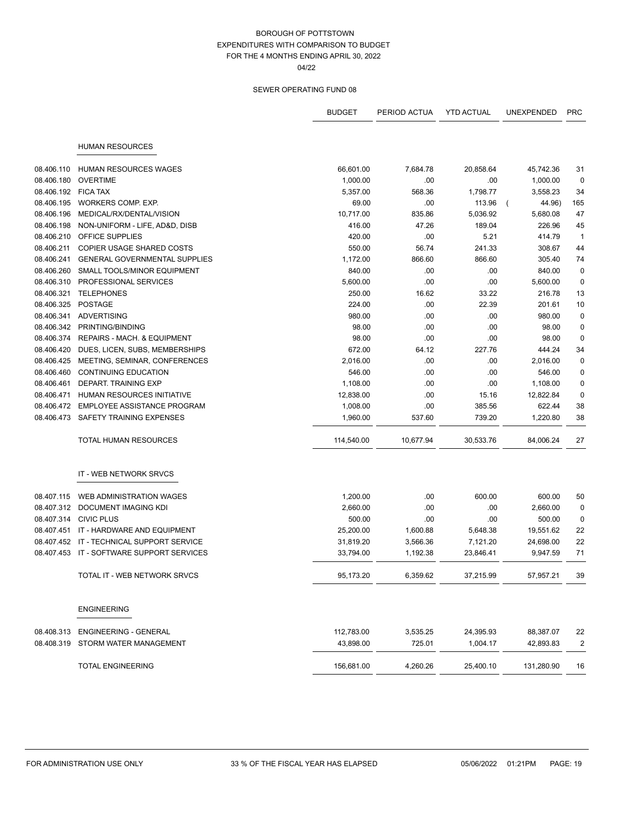04/22

|            |                                           | <b>BUDGET</b> | PERIOD ACTUA | <b>YTD ACTUAL</b> | UNEXPENDED | <b>PRC</b>              |
|------------|-------------------------------------------|---------------|--------------|-------------------|------------|-------------------------|
|            | <b>HUMAN RESOURCES</b>                    |               |              |                   |            |                         |
|            |                                           |               |              |                   |            |                         |
| 08.406.110 | <b>HUMAN RESOURCES WAGES</b>              | 66,601.00     | 7,684.78     | 20,858.64         | 45,742.36  | 31                      |
| 08.406.180 | <b>OVERTIME</b>                           | 1,000.00      | .00          | .00               | 1,000.00   | $\mathbf 0$             |
| 08.406.192 | <b>FICA TAX</b>                           | 5,357.00      | 568.36       | 1,798.77          | 3,558.23   | 34                      |
| 08.406.195 | WORKERS COMP. EXP.                        | 69.00         | .00          | 113.96            | 44.96)     | 165                     |
| 08.406.196 | MEDICAL/RX/DENTAL/VISION                  | 10,717.00     | 835.86       | 5,036.92          | 5,680.08   | 47                      |
| 08.406.198 | NON-UNIFORM - LIFE, AD&D, DISB            | 416.00        | 47.26        | 189.04            | 226.96     | 45                      |
| 08.406.210 | <b>OFFICE SUPPLIES</b>                    | 420.00        | .00          | 5.21              | 414.79     | $\overline{1}$          |
| 08.406.211 | <b>COPIER USAGE SHARED COSTS</b>          | 550.00        | 56.74        | 241.33            | 308.67     | 44                      |
| 08.406.241 | <b>GENERAL GOVERNMENTAL SUPPLIES</b>      | 1,172.00      | 866.60       | 866.60            | 305.40     | 74                      |
| 08.406.260 | SMALL TOOLS/MINOR EQUIPMENT               | 840.00        | .00          | .00               | 840.00     | 0                       |
| 08.406.310 | PROFESSIONAL SERVICES                     | 5,600.00      | .00          | .00               | 5,600.00   | 0                       |
| 08.406.321 | <b>TELEPHONES</b>                         | 250.00        | 16.62        | 33.22             | 216.78     | 13                      |
| 08.406.325 | <b>POSTAGE</b>                            | 224.00        | .00          | 22.39             | 201.61     | 10                      |
| 08.406.341 | ADVERTISING                               | 980.00        | .00          | .00               | 980.00     | 0                       |
| 08.406.342 | PRINTING/BINDING                          | 98.00         | .00          | .00               | 98.00      | 0                       |
| 08.406.374 | REPAIRS - MACH. & EQUIPMENT               | 98.00         | .00          | .00               | 98.00      | $\pmb{0}$               |
| 08.406.420 | DUES, LICEN, SUBS, MEMBERSHIPS            | 672.00        | 64.12        | 227.76            | 444.24     | 34                      |
| 08.406.425 | MEETING, SEMINAR, CONFERENCES             | 2,016.00      | .00          | .00               | 2,016.00   | 0                       |
| 08.406.460 | <b>CONTINUING EDUCATION</b>               | 546.00        | .00          | .00               | 546.00     | 0                       |
| 08.406.461 | DEPART. TRAINING EXP                      | 1,108.00      | .00          | .00               | 1,108.00   | $\pmb{0}$               |
| 08.406.471 | HUMAN RESOURCES INITIATIVE                | 12,838.00     | .00          | 15.16             | 12,822.84  | 0                       |
| 08.406.472 | EMPLOYEE ASSISTANCE PROGRAM               | 1,008.00      | .00          | 385.56            | 622.44     | 38                      |
| 08.406.473 | SAFETY TRAINING EXPENSES                  | 1,960.00      | 537.60       | 739.20            | 1,220.80   | 38                      |
|            | <b>TOTAL HUMAN RESOURCES</b>              | 114,540.00    | 10,677.94    | 30,533.76         | 84,006.24  | 27                      |
|            | IT - WEB NETWORK SRVCS                    |               |              |                   |            |                         |
| 08.407.115 | WEB ADMINISTRATION WAGES                  | 1,200.00      | .00          | 600.00            | 600.00     | 50                      |
|            | 08.407.312 DOCUMENT IMAGING KDI           | 2,660.00      | .00          | .00               | 2,660.00   | 0                       |
| 08.407.314 | <b>CIVIC PLUS</b>                         | 500.00        | .00          | .00               | 500.00     | 0                       |
| 08.407.451 | IT - HARDWARE AND EQUIPMENT               | 25,200.00     | 1,600.88     | 5,648.38          | 19,551.62  | 22                      |
| 08.407.452 | IT - TECHNICAL SUPPORT SERVICE            | 31,819.20     | 3,566.36     | 7,121.20          | 24,698.00  | 22                      |
|            | 08.407.453 IT - SOFTWARE SUPPORT SERVICES | 33,794.00     | 1,192.38     | 23,846.41         | 9,947.59   | 71                      |
|            | TOTAL IT - WEB NETWORK SRVCS              | 95,173.20     | 6,359.62     | 37,215.99         | 57,957.21  | 39                      |
|            | <b>ENGINEERING</b>                        |               |              |                   |            |                         |
| 08.408.313 | <b>ENGINEERING - GENERAL</b>              | 112,783.00    | 3,535.25     | 24,395.93         | 88,387.07  | 22                      |
| 08.408.319 | STORM WATER MANAGEMENT                    | 43.898.00     | 725.01       | 1,004.17          | 42,893.83  | $\overline{\mathbf{c}}$ |
|            | <b>TOTAL ENGINEERING</b>                  | 156,681.00    | 4,260.26     | 25,400.10         | 131,280.90 | 16                      |
|            |                                           |               |              |                   |            |                         |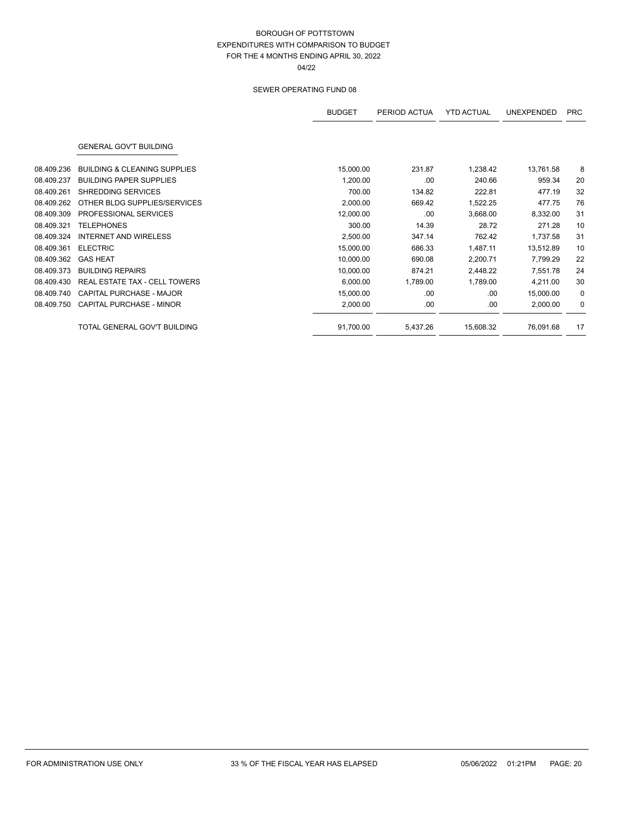|            |                                         | <b>BUDGET</b> | PERIOD ACTUA | <b>YTD ACTUAL</b> | <b>UNEXPENDED</b> | <b>PRC</b> |
|------------|-----------------------------------------|---------------|--------------|-------------------|-------------------|------------|
|            | <b>GENERAL GOV'T BUILDING</b>           |               |              |                   |                   |            |
| 08.409.236 | <b>BUILDING &amp; CLEANING SUPPLIES</b> | 15,000.00     | 231.87       | 1,238.42          | 13,761.58         | 8          |
| 08.409.237 | <b>BUILDING PAPER SUPPLIES</b>          | 1,200.00      | .00          | 240.66            | 959.34            | 20         |
| 08.409.261 | SHREDDING SERVICES                      | 700.00        | 134.82       | 222.81            | 477.19            | 32         |
| 08.409.262 | OTHER BLDG SUPPLIES/SERVICES            | 2,000.00      | 669.42       | 1,522.25          | 477.75            | 76         |
| 08.409.309 | PROFESSIONAL SERVICES                   | 12,000.00     | .00          | 3,668.00          | 8,332.00          | 31         |
| 08.409.321 | <b>TELEPHONES</b>                       | 300.00        | 14.39        | 28.72             | 271.28            | 10         |
| 08.409.324 | <b>INTERNET AND WIRELESS</b>            | 2,500.00      | 347.14       | 762.42            | 1,737.58          | 31         |
| 08.409.361 | <b>ELECTRIC</b>                         | 15,000.00     | 686.33       | 1,487.11          | 13,512.89         | 10         |
| 08.409.362 | <b>GAS HEAT</b>                         | 10,000.00     | 690.08       | 2,200.71          | 7,799.29          | 22         |
| 08.409.373 | <b>BUILDING REPAIRS</b>                 | 10,000.00     | 874.21       | 2,448.22          | 7,551.78          | 24         |
| 08.409.430 | <b>REAL ESTATE TAX - CELL TOWERS</b>    | 6,000.00      | 1,789.00     | 1,789.00          | 4,211.00          | 30         |
| 08.409.740 | CAPITAL PURCHASE - MAJOR                | 15,000.00     | .00          | .00               | 15,000.00         | 0          |
| 08.409.750 | CAPITAL PURCHASE - MINOR                | 2,000.00      | .00          | .00               | 2,000.00          | 0          |
|            | TOTAL GENERAL GOV'T BUILDING            | 91,700.00     | 5,437.26     | 15,608.32         | 76,091.68         | 17         |
|            |                                         |               |              |                   |                   |            |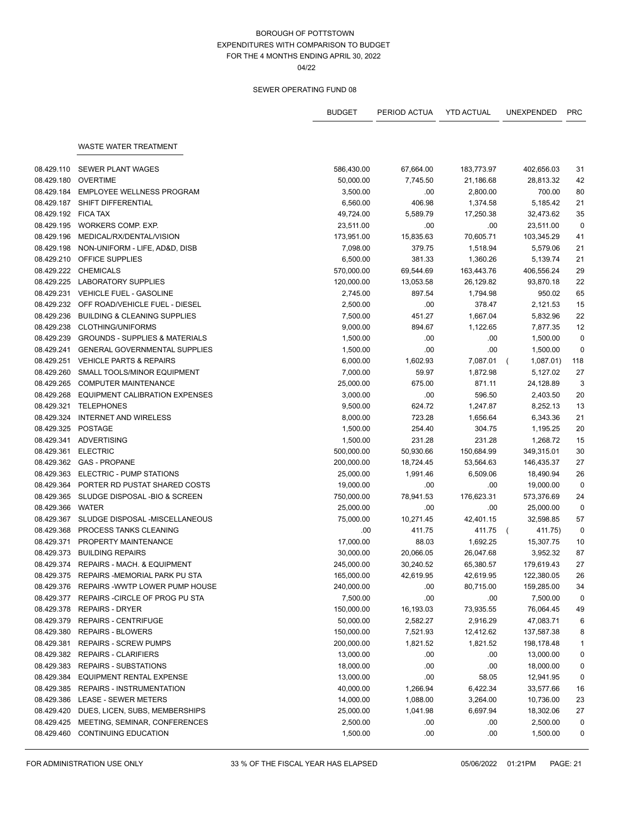04/22

|            |                                            | <b>BUDGET</b> | PERIOD ACTUA | <b>YTD ACTUAL</b> | UNEXPENDED            | <b>PRC</b>   |
|------------|--------------------------------------------|---------------|--------------|-------------------|-----------------------|--------------|
|            | WASTE WATER TREATMENT                      |               |              |                   |                       |              |
|            |                                            |               |              |                   |                       |              |
| 08.429.110 | <b>SEWER PLANT WAGES</b>                   | 586,430.00    | 67,664.00    | 183,773.97        | 402,656.03            | 31           |
| 08.429.180 | <b>OVERTIME</b>                            | 50,000.00     | 7,745.50     | 21,186.68         | 28,813.32             | 42           |
| 08.429.184 | <b>EMPLOYEE WELLNESS PROGRAM</b>           | 3,500.00      | .00          | 2,800.00          | 700.00                | 80           |
| 08.429.187 | SHIFT DIFFERENTIAL                         | 6,560.00      | 406.98       | 1,374.58          | 5,185.42              | 21           |
| 08.429.192 | <b>FICA TAX</b>                            | 49,724.00     | 5,589.79     | 17,250.38         | 32,473.62             | 35           |
| 08.429.195 | WORKERS COMP. EXP.                         | 23,511.00     | .00          | .00               | 23,511.00             | 0            |
| 08.429.196 | MEDICAL/RX/DENTAL/VISION                   | 173,951.00    | 15,835.63    | 70,605.71         | 103,345.29            | 41           |
| 08.429.198 | NON-UNIFORM - LIFE, AD&D, DISB             | 7,098.00      | 379.75       | 1,518.94          | 5,579.06              | 21           |
| 08.429.210 | <b>OFFICE SUPPLIES</b>                     | 6,500.00      | 381.33       | 1,360.26          | 5,139.74              | 21           |
| 08.429.222 | <b>CHEMICALS</b>                           | 570,000.00    | 69,544.69    | 163,443.76        | 406,556.24            | 29           |
| 08.429.225 | <b>LABORATORY SUPPLIES</b>                 | 120,000.00    | 13,053.58    | 26,129.82         | 93,870.18             | 22           |
| 08.429.231 | VEHICLE FUEL - GASOLINE                    | 2,745.00      | 897.54       | 1,794.98          | 950.02                | 65           |
| 08.429.232 | OFF ROAD/VEHICLE FUEL - DIESEL             | 2,500.00      | .00          | 378.47            | 2,121.53              | 15           |
| 08.429.236 | <b>BUILDING &amp; CLEANING SUPPLIES</b>    | 7,500.00      | 451.27       | 1,667.04          | 5,832.96              | 22           |
| 08.429.238 | CLOTHING/UNIFORMS                          | 9,000.00      | 894.67       | 1,122.65          | 7,877.35              | 12           |
| 08.429.239 | <b>GROUNDS - SUPPLIES &amp; MATERIALS</b>  | 1,500.00      | .00          | .00               | 1,500.00              | 0            |
| 08.429.241 | <b>GENERAL GOVERNMENTAL SUPPLIES</b>       | 1,500.00      | .00          | .00               | 1,500.00              | 0            |
| 08.429.251 | <b>VEHICLE PARTS &amp; REPAIRS</b>         | 6,000.00      | 1,602.93     | 7,087.01          | 1,087.01)<br>$\left($ | 118          |
| 08.429.260 | SMALL TOOLS/MINOR EQUIPMENT                | 7,000.00      | 59.97        | 1,872.98          | 5,127.02              | 27           |
| 08.429.265 | <b>COMPUTER MAINTENANCE</b>                | 25,000.00     | 675.00       | 871.11            | 24,128.89             | 3            |
| 08.429.268 | EQUIPMENT CALIBRATION EXPENSES             | 3,000.00      | .00          | 596.50            | 2,403.50              | 20           |
| 08.429.321 | <b>TELEPHONES</b>                          | 9,500.00      | 624.72       | 1,247.87          | 8,252.13              | 13           |
| 08.429.324 | <b>INTERNET AND WIRELESS</b>               | 8,000.00      | 723.28       | 1,656.64          | 6,343.36              | 21           |
| 08.429.325 | POSTAGE                                    | 1,500.00      | 254.40       | 304.75            | 1,195.25              | 20           |
|            | 08.429.341 ADVERTISING                     | 1,500.00      | 231.28       | 231.28            | 1,268.72              | 15           |
| 08.429.361 | <b>ELECTRIC</b>                            | 500,000.00    | 50,930.66    | 150,684.99        | 349,315.01            | 30           |
|            | 08.429.362 GAS - PROPANE                   | 200,000.00    | 18,724.45    | 53,564.63         | 146,435.37            | 27           |
| 08.429.363 | ELECTRIC - PUMP STATIONS                   | 25,000.00     | 1,991.46     | 6,509.06          | 18,490.94             | 26           |
| 08.429.364 | PORTER RD PUSTAT SHARED COSTS              | 19,000.00     | .00          | .00               | 19,000.00             | 0            |
| 08.429.365 | SLUDGE DISPOSAL -BIO & SCREEN              | 750,000.00    | 78,941.53    | 176,623.31        | 573,376.69            | 24           |
| 08.429.366 | WATER                                      | 25,000.00     | .00          | .00               | 25,000.00             | 0            |
| 08.429.367 | SLUDGE DISPOSAL -MISCELLANEOUS             | 75,000.00     | 10,271.45    | 42,401.15         | 32,598.85             | 57           |
| 08.429.368 | PROCESS TANKS CLEANING                     | .00           | 411.75       | 411.75            | 411.75)<br>$\sqrt{2}$ | 0            |
| 08.429.371 | PROPERTY MAINTENANCE                       | 17,000.00     | 88.03        | 1,692.25          | 15,307.75             | 10           |
| 08.429.373 | <b>BUILDING REPAIRS</b>                    | 30,000.00     | 20,066.05    | 26,047.68         | 3,952.32              | 87           |
| 08.429.374 | REPAIRS - MACH. & EQUIPMENT                | 245,000.00    | 30,240.52    | 65,380.57         | 179,619.43            | 27           |
|            | 08.429.375 REPAIRS - MEMORIAL PARK PU STA  | 165,000.00    | 42,619.95    | 42,619.95         | 122,380.05            | 26           |
|            | 08.429.376 REPAIRS - WWTP LOWER PUMP HOUSE | 240,000.00    | .00          | 80,715.00         | 159,285.00            | 34           |
| 08.429.377 | REPAIRS - CIRCLE OF PROG PU STA            | 7,500.00      | .00          | .00               | 7,500.00              | 0            |
| 08.429.378 | <b>REPAIRS - DRYER</b>                     | 150,000.00    | 16,193.03    | 73,935.55         | 76,064.45             | 49           |
| 08.429.379 | <b>REPAIRS - CENTRIFUGE</b>                | 50,000.00     | 2,582.27     | 2,916.29          | 47,083.71             | 6            |
| 08.429.380 | <b>REPAIRS - BLOWERS</b>                   | 150,000.00    | 7,521.93     | 12,412.62         | 137,587.38            | 8            |
| 08.429.381 | <b>REPAIRS - SCREW PUMPS</b>               | 200,000.00    | 1,821.52     | 1,821.52          | 198,178.48            | $\mathbf{1}$ |
| 08.429.382 | <b>REPAIRS - CLARIFIERS</b>                | 13,000.00     | .00          | .00               | 13,000.00             | 0            |
| 08.429.383 | <b>REPAIRS - SUBSTATIONS</b>               | 18,000.00     | .00          | .00               | 18,000.00             | 0            |
| 08.429.384 | <b>EQUIPMENT RENTAL EXPENSE</b>            | 13,000.00     | .00          | 58.05             | 12,941.95             | 0            |
| 08.429.385 | REPAIRS - INSTRUMENTATION                  | 40,000.00     | 1,266.94     | 6,422.34          | 33,577.66             | 16           |
| 08.429.386 | <b>LEASE - SEWER METERS</b>                | 14,000.00     | 1,088.00     | 3,264.00          | 10,736.00             | 23           |
| 08.429.420 | DUES, LICEN, SUBS, MEMBERSHIPS             | 25,000.00     | 1,041.98     | 6,697.94          | 18,302.06             | 27           |
| 08.429.425 | MEETING, SEMINAR, CONFERENCES              | 2,500.00      | .00          | .00               | 2,500.00              | 0            |
| 08.429.460 | CONTINUING EDUCATION                       | 1,500.00      | .00          | .00               | 1,500.00              | 0            |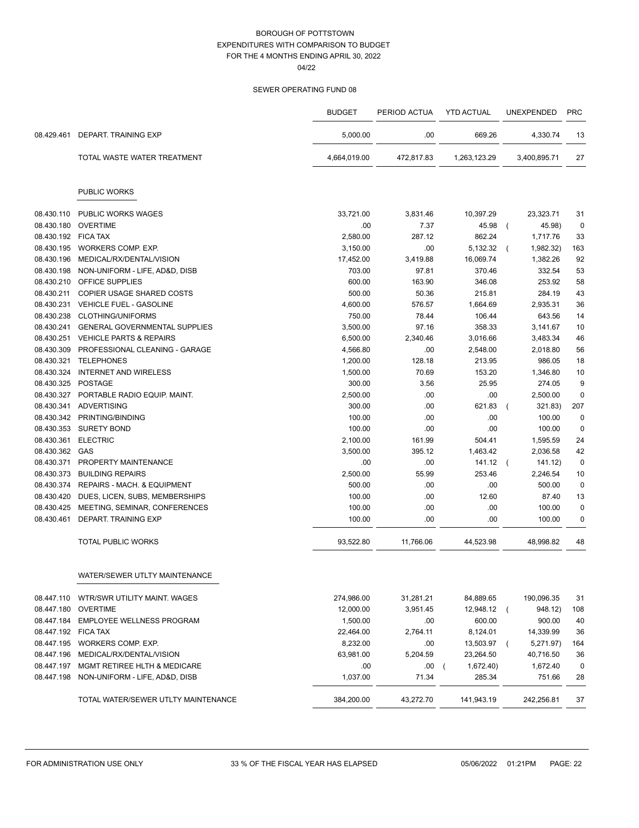04/22

|                     |                                           | <b>BUDGET</b> | PERIOD ACTUA | <b>YTD ACTUAL</b>       | <b>UNEXPENDED</b>       | <b>PRC</b>  |
|---------------------|-------------------------------------------|---------------|--------------|-------------------------|-------------------------|-------------|
| 08.429.461          | <b>DEPART, TRAINING EXP</b>               | 5,000.00      | .00.         | 669.26                  | 4,330.74                | 13          |
|                     | TOTAL WASTE WATER TREATMENT               | 4,664,019.00  | 472,817.83   | 1,263,123.29            | 3,400,895.71            | 27          |
|                     | <b>PUBLIC WORKS</b>                       |               |              |                         |                         |             |
| 08.430.110          | <b>PUBLIC WORKS WAGES</b>                 | 33,721.00     | 3,831.46     | 10,397.29               | 23,323.71               | 31          |
| 08.430.180          | <b>OVERTIME</b>                           | .00           | 7.37         | 45.98                   | 45.98)<br>$\left($      | $\mathbf 0$ |
| 08.430.192 FICA TAX |                                           | 2,580.00      | 287.12       | 862.24                  | 1,717.76                | 33          |
|                     | 08.430.195 WORKERS COMP. EXP.             | 3,150.00      | .00          | 5,132.32                | 1,982.32)<br>$\sqrt{ }$ | 163         |
|                     | 08.430.196 MEDICAL/RX/DENTAL/VISION       | 17,452.00     | 3,419.88     | 16,069.74               | 1,382.26                | 92          |
| 08.430.198          | NON-UNIFORM - LIFE, AD&D, DISB            | 703.00        | 97.81        | 370.46                  | 332.54                  | 53          |
|                     | 08.430.210 OFFICE SUPPLIES                | 600.00        | 163.90       | 346.08                  | 253.92                  | 58          |
| 08.430.211          | <b>COPIER USAGE SHARED COSTS</b>          | 500.00        | 50.36        | 215.81                  | 284.19                  | 43          |
|                     | 08.430.231 VEHICLE FUEL - GASOLINE        | 4,600.00      | 576.57       | 1,664.69                | 2,935.31                | 36          |
| 08.430.238          | CLOTHING/UNIFORMS                         | 750.00        | 78.44        | 106.44                  | 643.56                  | 14          |
| 08.430.241          | <b>GENERAL GOVERNMENTAL SUPPLIES</b>      | 3,500.00      | 97.16        | 358.33                  | 3.141.67                | 10          |
| 08.430.251          | <b>VEHICLE PARTS &amp; REPAIRS</b>        | 6,500.00      | 2,340.46     | 3,016.66                | 3,483.34                | 46          |
| 08.430.309          | PROFESSIONAL CLEANING - GARAGE            | 4,566.80      | .00          | 2,548.00                | 2,018.80                | 56          |
|                     | 08.430.321 TELEPHONES                     | 1,200.00      | 128.18       | 213.95                  | 986.05                  | 18          |
| 08.430.324          | <b>INTERNET AND WIRELESS</b>              | 1,500.00      | 70.69        | 153.20                  | 1,346.80                | 10          |
| 08.430.325 POSTAGE  |                                           | 300.00        | 3.56         | 25.95                   | 274.05                  | 9           |
|                     | 08.430.327 PORTABLE RADIO EQUIP. MAINT.   | 2,500.00      | .00          | .00                     | 2,500.00                | $\mathbf 0$ |
|                     | 08.430.341 ADVERTISING                    | 300.00        | .00          | 621.83                  | 321.83)                 | 207         |
|                     | 08.430.342 PRINTING/BINDING               | 100.00        | .00          | .00                     | 100.00                  | $\mathbf 0$ |
|                     | 08.430.353 SURETY BOND                    | 100.00        | .00          | .00                     | 100.00                  | $\mathbf 0$ |
| 08.430.361          | <b>ELECTRIC</b>                           | 2,100.00      | 161.99       | 504.41                  | 1,595.59                | 24          |
| 08.430.362 GAS      |                                           | 3,500.00      | 395.12       | 1,463.42                | 2,036.58                | 42          |
| 08.430.371          | PROPERTY MAINTENANCE                      | .00           | .00          | 141.12                  | 141.12)<br>$\sqrt{2}$   | $\mathbf 0$ |
|                     | 08.430.373 BUILDING REPAIRS               | 2,500.00      | 55.99        | 253.46                  | 2,246.54                | 10          |
| 08.430.374          | REPAIRS - MACH. & EQUIPMENT               | 500.00        | .00          | .00                     | 500.00                  | $\mathbf 0$ |
|                     | 08.430.420 DUES, LICEN, SUBS, MEMBERSHIPS | 100.00        | .00          | 12.60                   | 87.40                   | 13          |
| 08.430.425          | MEETING, SEMINAR, CONFERENCES             | 100.00        | .00          | .00                     | 100.00                  | $\mathbf 0$ |
| 08.430.461          | DEPART. TRAINING EXP                      | 100.00        | .00          | .00                     | 100.00                  | $\mathbf 0$ |
|                     | <b>TOTAL PUBLIC WORKS</b>                 | 93,522.80     | 11,766.06    | 44,523.98               | 48,998.82               | 48          |
|                     | WATER/SEWER UTLTY MAINTENANCE             |               |              |                         |                         |             |
|                     | 08.447.110 WTR/SWR UTILITY MAINT. WAGES   | 274,986.00    | 31,281.21    | 84,889.65               | 190,096.35              | 31          |
|                     | 08.447.180 OVERTIME                       | 12,000.00     | 3,951.45     | 12,948.12               | 948.12)<br>$\left($     | 108         |
|                     | 08.447.184 EMPLOYEE WELLNESS PROGRAM      | 1,500.00      | .00          | 600.00                  | 900.00                  | 40          |
| 08.447.192 FICA TAX |                                           | 22,464.00     | 2,764.11     | 8,124.01                | 14,339.99               | 36          |
|                     | 08.447.195 WORKERS COMP. EXP.             | 8,232.00      | .00          | 13,503.97               | 5,271.97)<br>$\left($   | 164         |
|                     | 08.447.196 MEDICAL/RX/DENTAL/VISION       | 63,981.00     | 5,204.59     | 23,264.50               | 40,716.50               | 36          |
|                     | 08.447.197 MGMT RETIREE HLTH & MEDICARE   | .00           | .00          | 1,672.40)<br>$\sqrt{2}$ | 1,672.40                | $\mathbf 0$ |
|                     | 08.447.198 NON-UNIFORM - LIFE, AD&D, DISB | 1,037.00      | 71.34        | 285.34                  | 751.66                  | 28          |
|                     | TOTAL WATER/SEWER UTLTY MAINTENANCE       | 384,200.00    | 43,272.70    | 141,943.19              | 242,256.81              | 37          |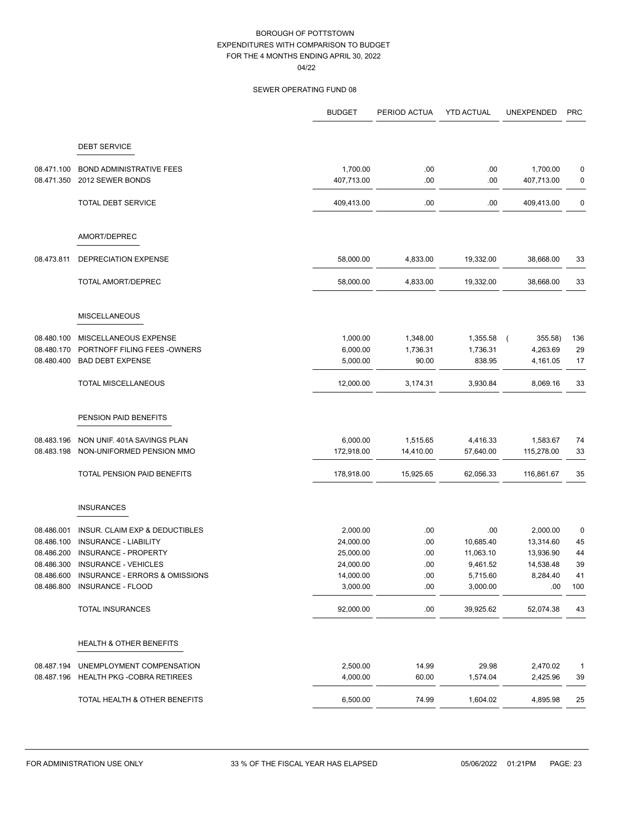04/22

|            |                                       | <b>BUDGET</b> | PERIOD ACTUA | <b>YTD ACTUAL</b> | <b>UNEXPENDED</b>         | <b>PRC</b>   |
|------------|---------------------------------------|---------------|--------------|-------------------|---------------------------|--------------|
|            | <b>DEBT SERVICE</b>                   |               |              |                   |                           |              |
|            |                                       |               |              |                   |                           |              |
| 08.471.100 | <b>BOND ADMINISTRATIVE FEES</b>       | 1,700.00      | .00          | .00               | 1,700.00                  | $\pmb{0}$    |
| 08.471.350 | 2012 SEWER BONDS                      | 407,713.00    | .00          | .00               | 407,713.00                | 0            |
|            | <b>TOTAL DEBT SERVICE</b>             | 409,413.00    | .00          | .00               | 409,413.00                | 0            |
|            | AMORT/DEPREC                          |               |              |                   |                           |              |
| 08.473.811 | DEPRECIATION EXPENSE                  | 58,000.00     | 4,833.00     | 19,332.00         | 38,668.00                 | 33           |
|            | <b>TOTAL AMORT/DEPREC</b>             | 58,000.00     | 4,833.00     | 19,332.00         | 38,668.00                 | 33           |
|            | <b>MISCELLANEOUS</b>                  |               |              |                   |                           |              |
| 08.480.100 | MISCELLANEOUS EXPENSE                 | 1,000.00      | 1,348.00     | 1,355.58          | 355.58)<br>$\overline{ }$ | 136          |
| 08.480.170 | PORTNOFF FILING FEES - OWNERS         | 6,000.00      | 1,736.31     | 1,736.31          | 4,263.69                  | 29           |
| 08.480.400 | <b>BAD DEBT EXPENSE</b>               | 5,000.00      | 90.00        | 838.95            | 4,161.05                  | 17           |
|            | <b>TOTAL MISCELLANEOUS</b>            | 12,000.00     | 3,174.31     | 3,930.84          | 8,069.16                  | 33           |
|            | PENSION PAID BENEFITS                 |               |              |                   |                           |              |
| 08.483.196 | NON UNIF. 401A SAVINGS PLAN           | 6,000.00      | 1,515.65     | 4,416.33          | 1,583.67                  | 74           |
| 08.483.198 | NON-UNIFORMED PENSION MMO             | 172,918.00    | 14,410.00    | 57,640.00         | 115,278.00                | 33           |
|            | TOTAL PENSION PAID BENEFITS           | 178,918.00    | 15,925.65    | 62,056.33         | 116,861.67                | 35           |
|            | <b>INSURANCES</b>                     |               |              |                   |                           |              |
| 08.486.001 | INSUR. CLAIM EXP & DEDUCTIBLES        | 2,000.00      | .00          | .00               | 2,000.00                  | 0            |
| 08.486.100 | INSURANCE - LIABILITY                 | 24,000.00     | .00          | 10,685.40         | 13,314.60                 | 45           |
| 08.486.200 | INSURANCE - PROPERTY                  | 25,000.00     | .00.         | 11,063.10         | 13,936.90                 | 44           |
| 08.486.300 | <b>INSURANCE - VEHICLES</b>           | 24,000.00     | .00          | 9,461.52          | 14,538.48                 | 39           |
| 08.486.600 | INSURANCE - ERRORS & OMISSIONS        | 14,000.00     | .00          | 5,715.60          | 8,284.40                  | 41           |
|            | 08.486.800 INSURANCE - FLOOD          | 3,000.00      | .00          | 3,000.00          | .00                       | 100          |
|            | TOTAL INSURANCES                      | 92,000.00     | .00          | 39,925.62         | 52,074.38                 | 43           |
|            | HEALTH & OTHER BENEFITS               |               |              |                   |                           |              |
| 08.487.194 | UNEMPLOYMENT COMPENSATION             | 2,500.00      | 14.99        | 29.98             | 2,470.02                  | $\mathbf{1}$ |
|            | 08.487.196 HEALTH PKG -COBRA RETIREES | 4,000.00      | 60.00        | 1,574.04          | 2,425.96                  | 39           |
|            | TOTAL HEALTH & OTHER BENEFITS         | 6,500.00      | 74.99        | 1,604.02          | 4,895.98                  | 25           |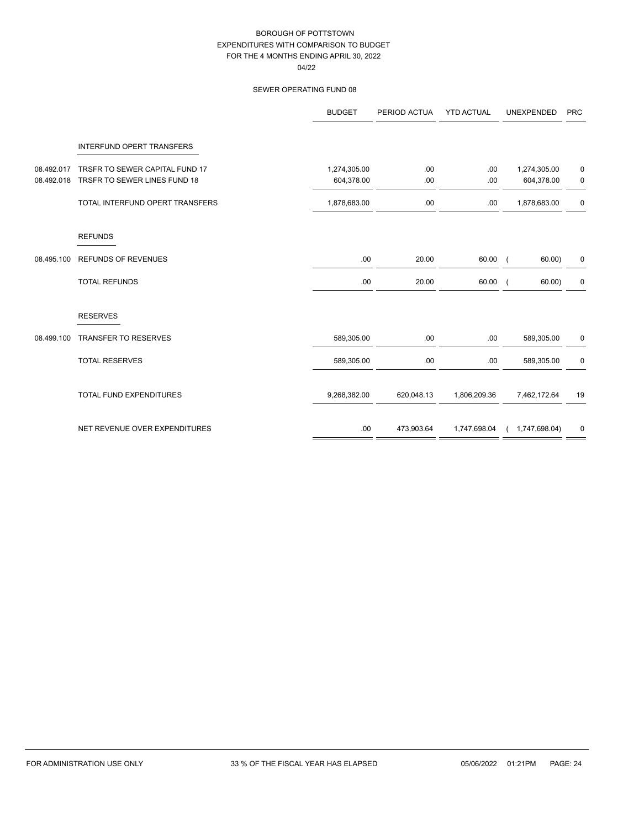04/22

|            |                                  | <b>BUDGET</b> | PERIOD ACTUA | <b>YTD ACTUAL</b> | UNEXPENDED    | <b>PRC</b>  |
|------------|----------------------------------|---------------|--------------|-------------------|---------------|-------------|
|            | <b>INTERFUND OPERT TRANSFERS</b> |               |              |                   |               |             |
| 08.492.017 | TRSFR TO SEWER CAPITAL FUND 17   | 1,274,305.00  | .00          | .00               | 1,274,305.00  | 0           |
| 08.492.018 | TRSFR TO SEWER LINES FUND 18     | 604,378.00    | .00          | .00.              | 604,378.00    | 0           |
|            | TOTAL INTERFUND OPERT TRANSFERS  | 1,878,683.00  | .00          | .00               | 1,878,683.00  | $\mathbf 0$ |
|            | <b>REFUNDS</b>                   |               |              |                   |               |             |
| 08.495.100 | <b>REFUNDS OF REVENUES</b>       | .00           | 20.00        | 60.00             | 60.00)        | 0           |
|            | <b>TOTAL REFUNDS</b>             | .00           | 20.00        | 60.00             | 60.00)        | 0           |
|            | <b>RESERVES</b>                  |               |              |                   |               |             |
| 08.499.100 | <b>TRANSFER TO RESERVES</b>      | 589,305.00    | .00          | .00.              | 589,305.00    | 0           |
|            | <b>TOTAL RESERVES</b>            | 589,305.00    | .00          | .00               | 589,305.00    | $\pmb{0}$   |
|            | TOTAL FUND EXPENDITURES          | 9,268,382.00  | 620,048.13   | 1,806,209.36      | 7,462,172.64  | 19          |
|            | NET REVENUE OVER EXPENDITURES    | .00           | 473,903.64   | 1,747,698.04      | 1,747,698.04) | 0           |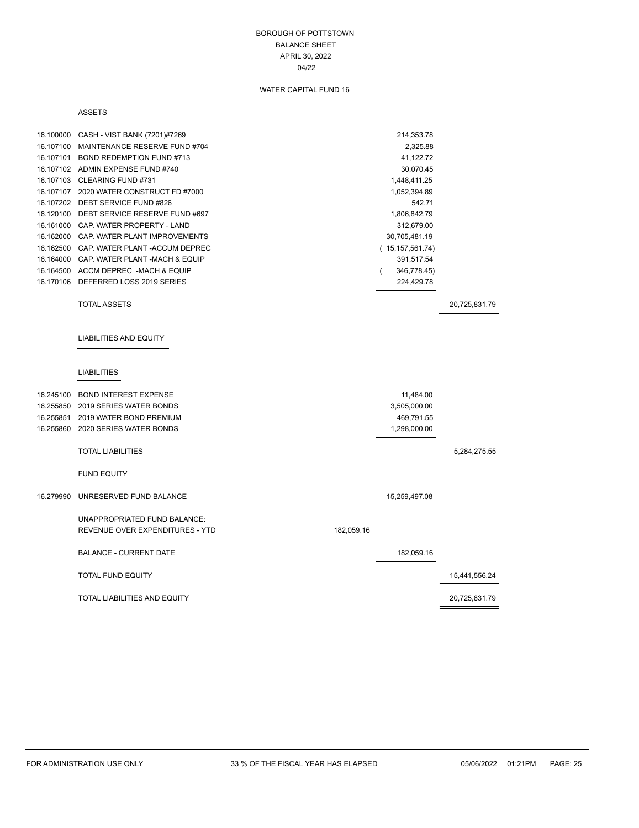### BOROUGH OF POTTSTOWN BALANCE SHEET APRIL 30, 2022 04/22

### WATER CAPITAL FUND 16

#### ASSETS

|           | 16.100000 CASH - VIST BANK (7201)#7269    | 214,353.78              |               |
|-----------|-------------------------------------------|-------------------------|---------------|
|           | 16.107100 MAINTENANCE RESERVE FUND #704   | 2,325.88                |               |
|           | 16.107101 BOND REDEMPTION FUND #713       | 41,122.72               |               |
|           | 16.107102 ADMIN EXPENSE FUND #740         | 30,070.45               |               |
|           | 16.107103 CLEARING FUND #731              | 1,448,411.25            |               |
|           | 16.107107 2020 WATER CONSTRUCT FD #7000   | 1,052,394.89            |               |
|           | 16.107202 DEBT SERVICE FUND #826          | 542.71                  |               |
|           | 16.120100 DEBT SERVICE RESERVE FUND #697  | 1,806,842.79            |               |
|           | 16.161000 CAP. WATER PROPERTY - LAND      | 312,679.00              |               |
|           | 16.162000 CAP. WATER PLANT IMPROVEMENTS   | 30,705,481.19           |               |
|           | 16.162500 CAP. WATER PLANT - ACCUM DEPREC | (15, 157, 561.74)       |               |
|           | 16.164000 CAP, WATER PLANT -MACH & EQUIP  | 391,517.54              |               |
|           | 16.164500 ACCM DEPREC -MACH & EQUIP       | 346,778.45)<br>$\left($ |               |
|           | 16.170106 DEFERRED LOSS 2019 SERIES       | 224,429.78              |               |
|           |                                           |                         |               |
|           | <b>TOTAL ASSETS</b>                       |                         | 20,725,831.79 |
|           |                                           |                         |               |
|           |                                           |                         |               |
|           | <b>LIABILITIES AND EQUITY</b>             |                         |               |
|           |                                           |                         |               |
|           |                                           |                         |               |
|           | <b>LIABILITIES</b>                        |                         |               |
|           |                                           |                         |               |
|           | 16.245100 BOND INTEREST EXPENSE           | 11,484.00               |               |
|           | 16.255850 2019 SERIES WATER BONDS         | 3,505,000.00            |               |
|           | 16.255851 2019 WATER BOND PREMIUM         | 469,791.55              |               |
|           | 16.255860 2020 SERIES WATER BONDS         | 1,298,000.00            |               |
|           |                                           |                         |               |
|           | <b>TOTAL LIABILITIES</b>                  |                         | 5,284,275.55  |
|           |                                           |                         |               |
|           | <b>FUND EQUITY</b>                        |                         |               |
|           |                                           |                         |               |
| 16.279990 | UNRESERVED FUND BALANCE                   | 15,259,497.08           |               |
|           |                                           |                         |               |
|           | UNAPPROPRIATED FUND BALANCE:              |                         |               |

REVENUE OVER EXPENDITURES - YTD 182,059.16 BALANCE - CURRENT DATE 182,059.16 TOTAL FUND EQUITY 15,441,556.24

TOTAL LIABILITIES AND EQUITY 20,725,831.79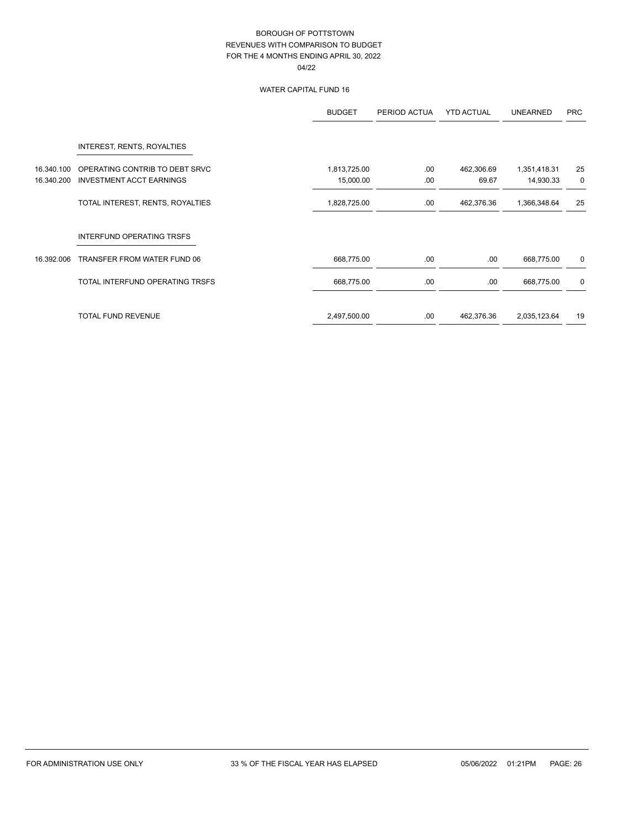### WATER CAPITAL FUND 16

|            |                                  | <b>BUDGET</b> | PERIOD ACTUA | <b>YTD ACTUAL</b> | <b>UNEARNED</b> | <b>PRC</b> |
|------------|----------------------------------|---------------|--------------|-------------------|-----------------|------------|
|            | INTEREST, RENTS, ROYALTIES       |               |              |                   |                 |            |
| 16.340.100 | OPERATING CONTRIB TO DEBT SRVC   | 1,813,725.00  | .00          | 462,306.69        | 1,351,418.31    | 25         |
| 16.340.200 | <b>INVESTMENT ACCT EARNINGS</b>  | 15,000.00     | .00          | 69.67             | 14,930.33       | 0          |
|            | TOTAL INTEREST, RENTS, ROYALTIES | 1,828,725.00  | .00          | 462,376.36        | 1,366,348.64    | 25         |
|            | INTERFUND OPERATING TRSFS        |               |              |                   |                 |            |
| 16.392.006 | TRANSFER FROM WATER FUND 06      | 668,775.00    | .00          | .00.              | 668,775.00      | 0          |
|            | TOTAL INTERFUND OPERATING TRSFS  | 668,775.00    | .00          | .00.              | 668,775.00      | 0          |
|            | <b>TOTAL FUND REVENUE</b>        | 2,497,500.00  | .00          | 462,376.36        | 2,035,123.64    | 19         |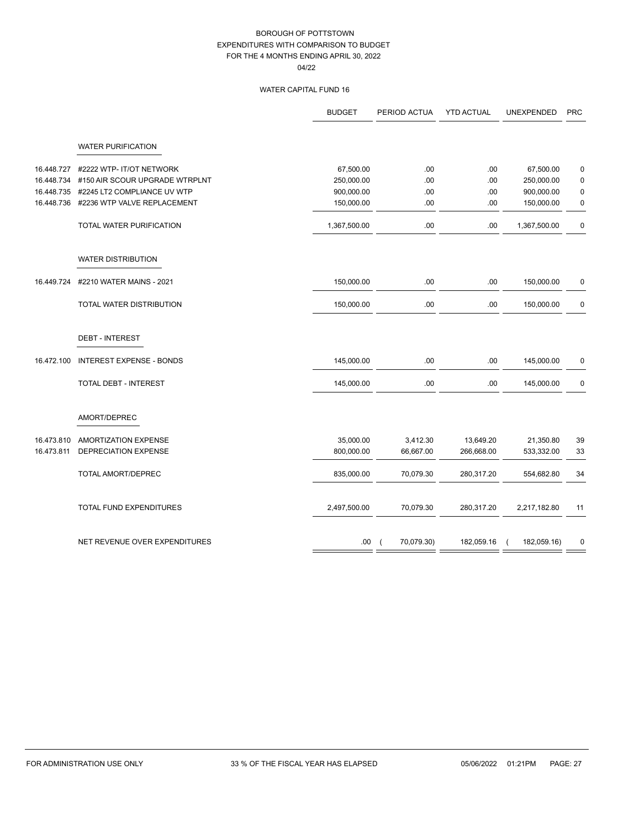### WATER CAPITAL FUND 16

|            |                                 | <b>BUDGET</b> | PERIOD ACTUA             | <b>YTD ACTUAL</b> | UNEXPENDED   | <b>PRC</b>  |
|------------|---------------------------------|---------------|--------------------------|-------------------|--------------|-------------|
|            | <b>WATER PURIFICATION</b>       |               |                          |                   |              |             |
| 16.448.727 | #2222 WTP- IT/OT NETWORK        | 67,500.00     | .00                      | .00               | 67,500.00    | 0           |
| 16.448.734 | #150 AIR SCOUR UPGRADE WTRPLNT  | 250,000.00    | .00                      | .00               | 250,000.00   | $\pmb{0}$   |
| 16.448.735 | #2245 LT2 COMPLIANCE UV WTP     | 900,000.00    | .00                      | .00               | 900,000.00   | $\mathbf 0$ |
| 16.448.736 | #2236 WTP VALVE REPLACEMENT     | 150,000.00    | .00                      | .00               | 150,000.00   | 0           |
|            | TOTAL WATER PURIFICATION        | 1,367,500.00  | .00                      | .00               | 1,367,500.00 | 0           |
|            | <b>WATER DISTRIBUTION</b>       |               |                          |                   |              |             |
| 16.449.724 | #2210 WATER MAINS - 2021        | 150,000.00    | .00                      | .00               | 150,000.00   | 0           |
|            | TOTAL WATER DISTRIBUTION        | 150,000.00    | .00                      | .00               | 150,000.00   | 0           |
|            | <b>DEBT - INTEREST</b>          |               |                          |                   |              |             |
| 16.472.100 | <b>INTEREST EXPENSE - BONDS</b> | 145,000.00    | .00                      | .00               | 145,000.00   | 0           |
|            | TOTAL DEBT - INTEREST           | 145,000.00    | .00                      | .00               | 145,000.00   | 0           |
|            | AMORT/DEPREC                    |               |                          |                   |              |             |
| 16.473.810 | AMORTIZATION EXPENSE            | 35,000.00     | 3,412.30                 | 13,649.20         | 21,350.80    | 39          |
| 16.473.811 | DEPRECIATION EXPENSE            | 800,000.00    | 66,667.00                | 266,668.00        | 533,332.00   | 33          |
|            | TOTAL AMORT/DEPREC              | 835,000.00    | 70,079.30                | 280,317.20        | 554,682.80   | 34          |
|            | TOTAL FUND EXPENDITURES         | 2,497,500.00  | 70,079.30                | 280,317.20        | 2,217,182.80 | 11          |
|            | NET REVENUE OVER EXPENDITURES   | .00.          | 70,079.30)<br>$\sqrt{ }$ | 182,059.16        | 182,059.16)  | $\mathbf 0$ |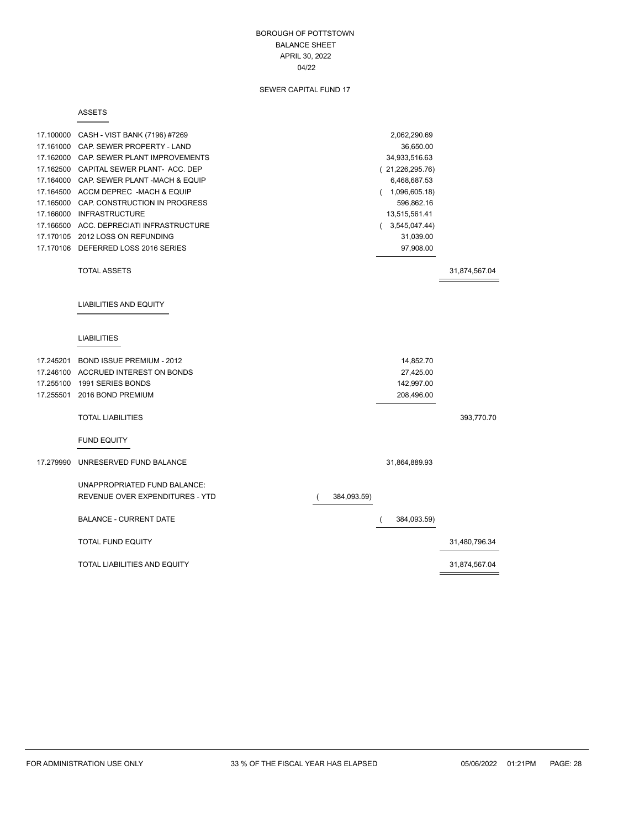### BOROUGH OF POTTSTOWN BALANCE SHEET APRIL 30, 2022 04/22

### SEWER CAPITAL FUND 17

#### ASSETS

Ė

|           | 17.100000 CASH - VIST BANK (7196) #7269  |             | 2,062,290.69    |               |
|-----------|------------------------------------------|-------------|-----------------|---------------|
|           | 17.161000 CAP. SEWER PROPERTY - LAND     |             | 36,650.00       |               |
|           | 17.162000 CAP. SEWER PLANT IMPROVEMENTS  |             | 34,933,516.63   |               |
|           | 17.162500 CAPITAL SEWER PLANT- ACC. DEP  |             | (21,226,295.76) |               |
|           | 17.164000 CAP. SEWER PLANT -MACH & EQUIP |             | 6,468,687.53    |               |
|           | 17.164500 ACCM DEPREC -MACH & EQUIP      |             | (1,096,605.18)  |               |
|           | 17.165000 CAP. CONSTRUCTION IN PROGRESS  |             | 596,862.16      |               |
|           | 17.166000 INFRASTRUCTURE                 |             | 13,515,561.41   |               |
|           | 17.166500 ACC. DEPRECIATI INFRASTRUCTURE |             | (3,545,047.44)  |               |
|           | 17.170105 2012 LOSS ON REFUNDING         |             | 31,039.00       |               |
|           | 17.170106 DEFERRED LOSS 2016 SERIES      |             | 97,908.00       |               |
|           | <b>TOTAL ASSETS</b>                      |             |                 | 31,874,567.04 |
|           | LIABILITIES AND EQUITY                   |             |                 |               |
|           | <b>LIABILITIES</b>                       |             |                 |               |
|           | 17.245201 BOND ISSUE PREMIUM - 2012      |             | 14,852.70       |               |
|           | 17.246100 ACCRUED INTEREST ON BONDS      |             | 27,425.00       |               |
|           | 17.255100 1991 SERIES BONDS              |             | 142,997.00      |               |
| 17.255501 | 2016 BOND PREMIUM                        |             | 208,496.00      |               |
|           | <b>TOTAL LIABILITIES</b>                 |             |                 | 393,770.70    |
|           | <b>FUND EQUITY</b>                       |             |                 |               |
| 17.279990 | UNRESERVED FUND BALANCE                  |             | 31,864,889.93   |               |
|           | UNAPPROPRIATED FUND BALANCE:             |             |                 |               |
|           | REVENUE OVER EXPENDITURES - YTD          | 384,093.59) |                 |               |
|           |                                          |             |                 |               |
|           | <b>BALANCE - CURRENT DATE</b>            |             | 384,093.59)     |               |
|           | <b>TOTAL FUND EQUITY</b>                 |             |                 | 31,480,796.34 |
|           | TOTAL LIABILITIES AND EQUITY             |             |                 | 31,874,567.04 |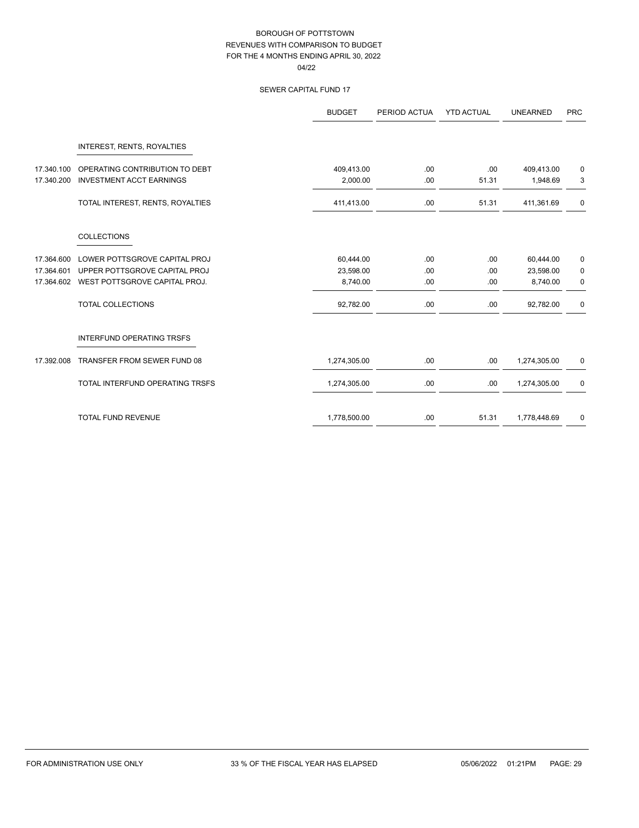### SEWER CAPITAL FUND 17

|            |                                  | <b>BUDGET</b> | PERIOD ACTUA | <b>YTD ACTUAL</b> | <b>UNEARNED</b> | <b>PRC</b> |
|------------|----------------------------------|---------------|--------------|-------------------|-----------------|------------|
|            | INTEREST, RENTS, ROYALTIES       |               |              |                   |                 |            |
| 17.340.100 | OPERATING CONTRIBUTION TO DEBT   | 409,413.00    | .00.         | .00.              | 409,413.00      | 0          |
| 17.340.200 | <b>INVESTMENT ACCT EARNINGS</b>  | 2,000.00      | .00.         | 51.31             | 1,948.69        | 3          |
|            | TOTAL INTEREST, RENTS, ROYALTIES | 411,413.00    | .00.         | 51.31             | 411,361.69      | 0          |
|            | <b>COLLECTIONS</b>               |               |              |                   |                 |            |
| 17.364.600 | LOWER POTTSGROVE CAPITAL PROJ    | 60,444.00     | .00.         | .00               | 60,444.00       | 0          |
| 17.364.601 | UPPER POTTSGROVE CAPITAL PROJ    | 23,598.00     | .00          | .00               | 23,598.00       | 0          |
| 17.364.602 | WEST POTTSGROVE CAPITAL PROJ.    | 8,740.00      | .00.         | .00               | 8,740.00        | 0          |
|            | <b>TOTAL COLLECTIONS</b>         | 92,782.00     | .00          | .00               | 92,782.00       | 0          |
|            | <b>INTERFUND OPERATING TRSFS</b> |               |              |                   |                 |            |
| 17.392.008 | TRANSFER FROM SEWER FUND 08      | 1,274,305.00  | .00.         | .00.              | 1,274,305.00    | 0          |
|            | TOTAL INTERFUND OPERATING TRSFS  | 1,274,305.00  | .00          | .00               | 1,274,305.00    | 0          |
|            | <b>TOTAL FUND REVENUE</b>        | 1,778,500.00  | .00.         | 51.31             | 1,778,448.69    | 0          |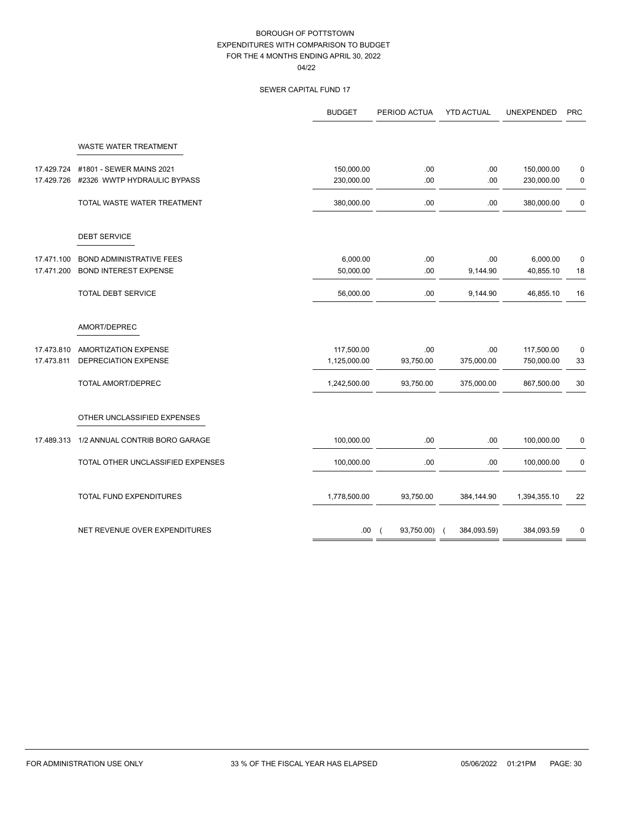### SEWER CAPITAL FUND 17

|            |                                   | <b>BUDGET</b> | PERIOD ACTUA | <b>YTD ACTUAL</b> | <b>UNEXPENDED</b> | <b>PRC</b>  |
|------------|-----------------------------------|---------------|--------------|-------------------|-------------------|-------------|
|            | WASTE WATER TREATMENT             |               |              |                   |                   |             |
| 17.429.724 | #1801 - SEWER MAINS 2021          | 150,000.00    | .00          | .00               | 150,000.00        | $\mathbf 0$ |
| 17.429.726 | #2326 WWTP HYDRAULIC BYPASS       | 230,000.00    | .00          | .00               | 230,000.00        | 0           |
|            | TOTAL WASTE WATER TREATMENT       | 380,000.00    | .00          | .00               | 380,000.00        | $\mathbf 0$ |
|            | <b>DEBT SERVICE</b>               |               |              |                   |                   |             |
| 17.471.100 | <b>BOND ADMINISTRATIVE FEES</b>   | 6,000.00      | .00          | .00               | 6,000.00          | $\mathbf 0$ |
| 17.471.200 | <b>BOND INTEREST EXPENSE</b>      | 50,000.00     | .00          | 9,144.90          | 40,855.10         | 18          |
|            | <b>TOTAL DEBT SERVICE</b>         | 56,000.00     | .00          | 9,144.90          | 46,855.10         | 16          |
|            | AMORT/DEPREC                      |               |              |                   |                   |             |
| 17.473.810 | AMORTIZATION EXPENSE              | 117,500.00    | .00          | .00               | 117,500.00        | 0           |
| 17.473.811 | DEPRECIATION EXPENSE              | 1,125,000.00  | 93,750.00    | 375,000.00        | 750,000.00        | 33          |
|            | TOTAL AMORT/DEPREC                | 1,242,500.00  | 93,750.00    | 375,000.00        | 867,500.00        | 30          |
|            | OTHER UNCLASSIFIED EXPENSES       |               |              |                   |                   |             |
| 17.489.313 | 1/2 ANNUAL CONTRIB BORO GARAGE    | 100,000.00    | .00          | .00               | 100,000.00        | 0           |
|            | TOTAL OTHER UNCLASSIFIED EXPENSES | 100,000.00    | .00          | .00               | 100,000.00        | 0           |
|            | TOTAL FUND EXPENDITURES           | 1,778,500.00  | 93,750.00    | 384,144.90        | 1,394,355.10      | 22          |
|            | NET REVENUE OVER EXPENDITURES     | .00.          | 93,750.00)   | 384,093.59)       | 384,093.59        | 0           |
|            |                                   |               |              |                   |                   |             |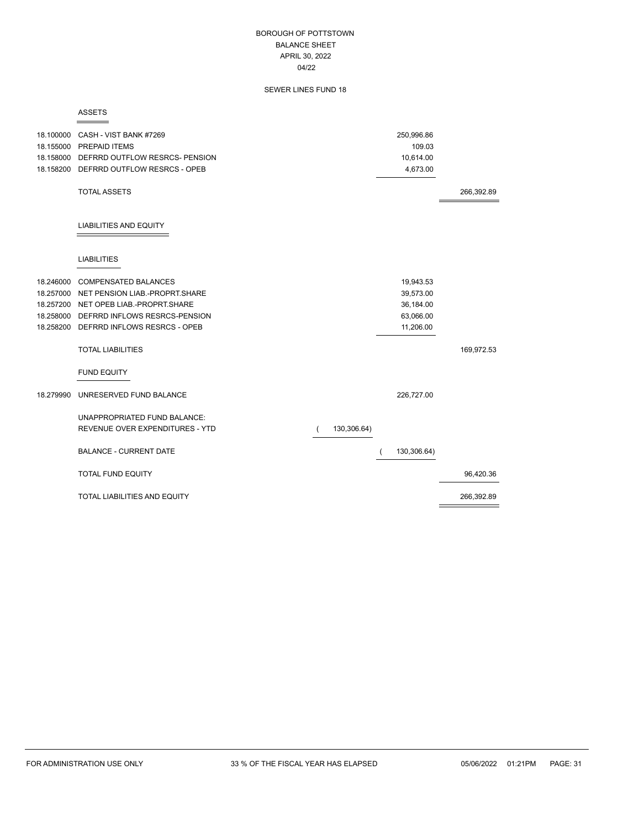### BOROUGH OF POTTSTOWN BALANCE SHEET APRIL 30, 2022 04/22

### SEWER LINES FUND 18

#### ASSETS

Ė

|           | 18.100000 CASH - VIST BANK #7269<br>18.155000 PREPAID ITEMS<br>18.158000 DEFRRD OUTFLOW RESRCS- PENSION<br>18.158200 DEFRRD OUTFLOW RESRCS - OPEB |             | 250,996.86<br>109.03<br>10,614.00<br>4,673.00 |            |
|-----------|---------------------------------------------------------------------------------------------------------------------------------------------------|-------------|-----------------------------------------------|------------|
|           | <b>TOTAL ASSETS</b>                                                                                                                               |             |                                               | 266,392.89 |
|           | <b>LIABILITIES AND EQUITY</b>                                                                                                                     |             |                                               |            |
|           | <b>LIABILITIES</b>                                                                                                                                |             |                                               |            |
| 18.246000 | <b>COMPENSATED BALANCES</b>                                                                                                                       |             | 19,943.53                                     |            |
|           | 18.257000 NET PENSION LIAB.-PROPRT.SHARE                                                                                                          |             | 39,573.00                                     |            |
|           | 18.257200 NET OPEB LIAB.-PROPRT.SHARE                                                                                                             |             | 36,184.00                                     |            |
| 18.258000 | DEFRRD INFLOWS RESRCS-PENSION                                                                                                                     |             | 63,066.00                                     |            |
| 18.258200 | DEFRRD INFLOWS RESRCS - OPEB                                                                                                                      |             | 11,206.00                                     |            |
|           | <b>TOTAL LIABILITIES</b>                                                                                                                          |             |                                               | 169,972.53 |
|           | <b>FUND EQUITY</b>                                                                                                                                |             |                                               |            |
| 18.279990 | UNRESERVED FUND BALANCE                                                                                                                           |             | 226,727.00                                    |            |
|           | UNAPPROPRIATED FUND BALANCE:                                                                                                                      |             |                                               |            |
|           | REVENUE OVER EXPENDITURES - YTD                                                                                                                   | 130,306.64) |                                               |            |
|           |                                                                                                                                                   |             |                                               |            |
|           | <b>BALANCE - CURRENT DATE</b>                                                                                                                     |             | 130,306.64)                                   |            |
|           | <b>TOTAL FUND EQUITY</b>                                                                                                                          |             |                                               | 96,420.36  |
|           | <b>TOTAL LIABILITIES AND EQUITY</b>                                                                                                               |             |                                               | 266,392.89 |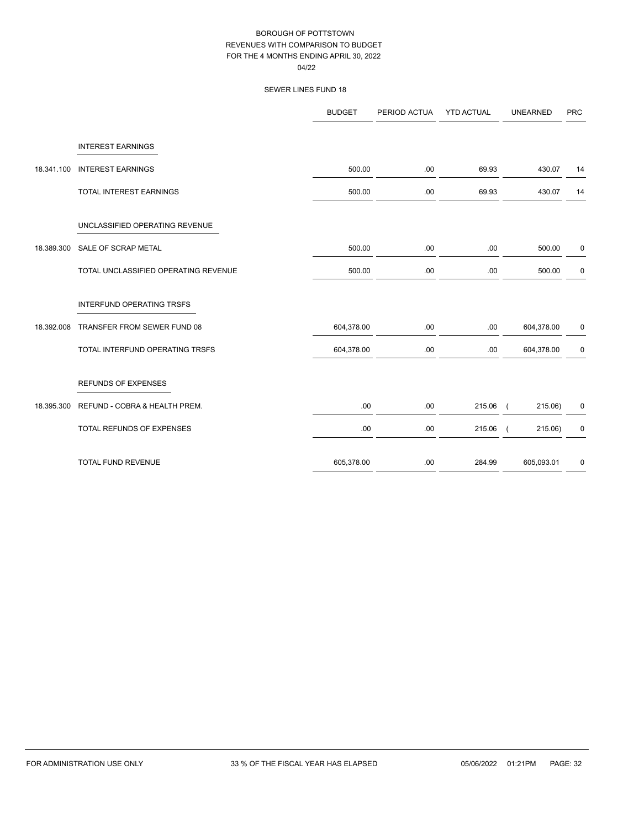|            |                                      | <b>BUDGET</b> | PERIOD ACTUA | <b>YTD ACTUAL</b> | <b>UNEARNED</b>     | <b>PRC</b> |
|------------|--------------------------------------|---------------|--------------|-------------------|---------------------|------------|
|            | <b>INTEREST EARNINGS</b>             |               |              |                   |                     |            |
| 18.341.100 | <b>INTEREST EARNINGS</b>             | 500.00        | .00          | 69.93             | 430.07              | 14         |
|            | TOTAL INTEREST EARNINGS              | 500.00        | .00.         | 69.93             | 430.07              | 14         |
|            | UNCLASSIFIED OPERATING REVENUE       |               |              |                   |                     |            |
| 18.389.300 | SALE OF SCRAP METAL                  | 500.00        | .00          | .00.              | 500.00              | 0          |
|            | TOTAL UNCLASSIFIED OPERATING REVENUE | 500.00        | .00          | .00.              | 500.00              | 0          |
|            | INTERFUND OPERATING TRSFS            |               |              |                   |                     |            |
| 18.392.008 | TRANSFER FROM SEWER FUND 08          | 604,378.00    | .00.         | .00.              | 604,378.00          | 0          |
|            | TOTAL INTERFUND OPERATING TRSFS      | 604,378.00    | .00          | .00.              | 604,378.00          | 0          |
|            | <b>REFUNDS OF EXPENSES</b>           |               |              |                   |                     |            |
| 18.395.300 | REFUND - COBRA & HEALTH PREM.        | .00.          | .00.         | 215.06 (          | 215.06)             | 0          |
|            | TOTAL REFUNDS OF EXPENSES            | .00           | .00          | 215.06            | 215.06)<br>$\left($ | 0          |
|            | TOTAL FUND REVENUE                   | 605,378.00    | .00          | 284.99            | 605,093.01          | 0          |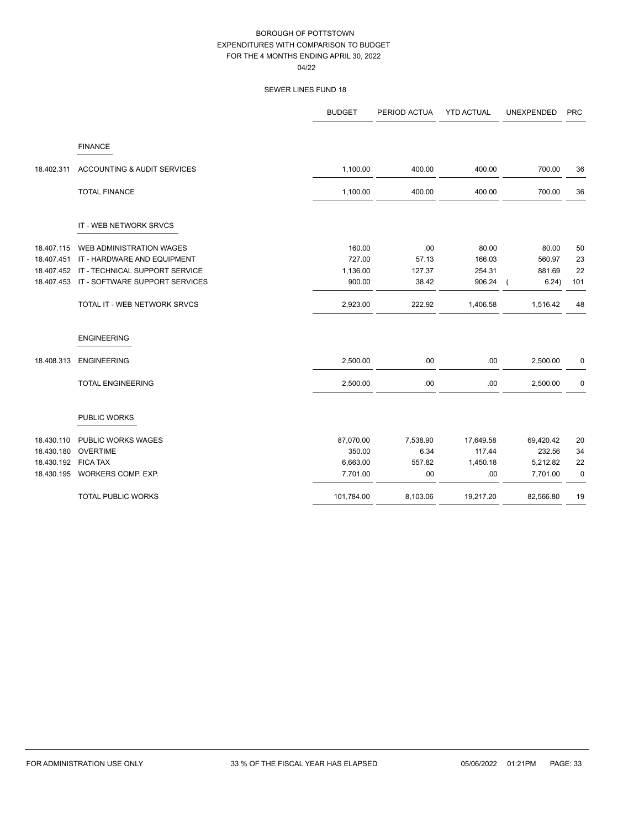04/22

|            |                                | <b>BUDGET</b> | PERIOD ACTUA | <b>YTD ACTUAL</b> | UNEXPENDED | <b>PRC</b>  |
|------------|--------------------------------|---------------|--------------|-------------------|------------|-------------|
|            | <b>FINANCE</b>                 |               |              |                   |            |             |
| 18.402.311 | ACCOUNTING & AUDIT SERVICES    | 1,100.00      | 400.00       | 400.00            | 700.00     | 36          |
|            | <b>TOTAL FINANCE</b>           | 1,100.00      | 400.00       | 400.00            | 700.00     | 36          |
|            | IT - WEB NETWORK SRVCS         |               |              |                   |            |             |
| 18.407.115 | WEB ADMINISTRATION WAGES       | 160.00        | .00          | 80.00             | 80.00      | 50          |
| 18.407.451 | IT - HARDWARE AND EQUIPMENT    | 727.00        | 57.13        | 166.03            | 560.97     | 23          |
| 18.407.452 | IT - TECHNICAL SUPPORT SERVICE | 1,136.00      | 127.37       | 254.31            | 881.69     | 22          |
| 18.407.453 | IT - SOFTWARE SUPPORT SERVICES | 900.00        | 38.42        | 906.24            | 6.24)      | 101         |
|            | TOTAL IT - WEB NETWORK SRVCS   | 2,923.00      | 222.92       | 1,406.58          | 1,516.42   | 48          |
|            | <b>ENGINEERING</b>             |               |              |                   |            |             |
| 18.408.313 | <b>ENGINEERING</b>             | 2,500.00      | .00          | .00               | 2,500.00   | 0           |
|            | <b>TOTAL ENGINEERING</b>       | 2,500.00      | .00          | .00               | 2,500.00   | 0           |
|            | PUBLIC WORKS                   |               |              |                   |            |             |
| 18.430.110 | PUBLIC WORKS WAGES             | 87,070.00     | 7,538.90     | 17,649.58         | 69,420.42  | 20          |
| 18.430.180 | <b>OVERTIME</b>                | 350.00        | 6.34         | 117.44            | 232.56     | 34          |
| 18.430.192 | <b>FICA TAX</b>                | 6,663.00      | 557.82       | 1,450.18          | 5,212.82   | 22          |
| 18.430.195 | WORKERS COMP. EXP.             | 7,701.00      | .00          | .00               | 7,701.00   | $\mathbf 0$ |
|            | <b>TOTAL PUBLIC WORKS</b>      | 101,784.00    | 8,103.06     | 19,217.20         | 82,566.80  | 19          |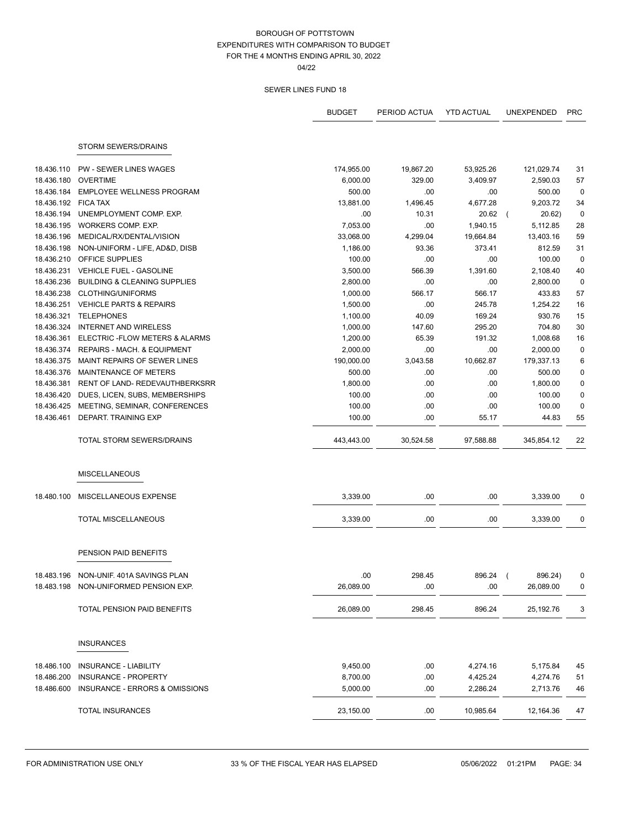04/22

|            |                                         | <b>BUDGET</b> | PERIOD ACTUA | <b>YTD ACTUAL</b> | UNEXPENDED | <b>PRC</b>  |
|------------|-----------------------------------------|---------------|--------------|-------------------|------------|-------------|
|            |                                         |               |              |                   |            |             |
|            | <b>STORM SEWERS/DRAINS</b>              |               |              |                   |            |             |
| 18.436.110 | <b>PW - SEWER LINES WAGES</b>           | 174,955.00    | 19,867.20    | 53,925.26         | 121,029.74 | 31          |
| 18.436.180 | <b>OVERTIME</b>                         | 6,000.00      | 329.00       | 3,409.97          | 2,590.03   | 57          |
| 18.436.184 | <b>EMPLOYEE WELLNESS PROGRAM</b>        | 500.00        | .00          | .00               | 500.00     | $\mathbf 0$ |
| 18.436.192 | <b>FICA TAX</b>                         | 13,881.00     | 1,496.45     | 4,677.28          | 9,203.72   | 34          |
| 18.436.194 | UNEMPLOYMENT COMP. EXP.                 | .00           | 10.31        | 20.62             | 20.62)     | $\mathbf 0$ |
| 18.436.195 | WORKERS COMP. EXP.                      | 7,053.00      | .00          | 1,940.15          | 5,112.85   | 28          |
| 18.436.196 | MEDICAL/RX/DENTAL/VISION                | 33,068.00     | 4,299.04     | 19,664.84         | 13,403.16  | 59          |
| 18.436.198 | NON-UNIFORM - LIFE, AD&D, DISB          | 1,186.00      | 93.36        | 373.41            | 812.59     | 31          |
| 18.436.210 | OFFICE SUPPLIES                         | 100.00        | .00          | .00               | 100.00     | $\mathbf 0$ |
| 18.436.231 | <b>VEHICLE FUEL - GASOLINE</b>          | 3,500.00      | 566.39       | 1,391.60          | 2,108.40   | 40          |
| 18.436.236 | <b>BUILDING &amp; CLEANING SUPPLIES</b> | 2,800.00      | .00          | .00               | 2,800.00   | $\mathbf 0$ |
| 18.436.238 | <b>CLOTHING/UNIFORMS</b>                | 1,000.00      | 566.17       | 566.17            | 433.83     | 57          |
| 18.436.251 | <b>VEHICLE PARTS &amp; REPAIRS</b>      | 1,500.00      | .00          | 245.78            | 1,254.22   | 16          |
| 18.436.321 | <b>TELEPHONES</b>                       | 1,100.00      | 40.09        | 169.24            | 930.76     | 15          |
| 18.436.324 | <b>INTERNET AND WIRELESS</b>            | 1,000.00      | 147.60       | 295.20            | 704.80     | 30          |
| 18.436.361 | ELECTRIC - FLOW METERS & ALARMS         | 1,200.00      | 65.39        | 191.32            | 1,008.68   | 16          |
| 18.436.374 | REPAIRS - MACH. & EQUIPMENT             | 2,000.00      | .00          | .00               | 2,000.00   | $\mathbf 0$ |
| 18.436.375 | MAINT REPAIRS OF SEWER LINES            | 190,000.00    | 3,043.58     | 10,662.87         | 179,337.13 | 6           |
| 18.436.376 | MAINTENANCE OF METERS                   | 500.00        | .00          | .00               | 500.00     | 0           |
| 18.436.381 | RENT OF LAND- REDEVAUTHBERKSRR          | 1,800.00      | .00          | .00               | 1,800.00   | 0           |
| 18.436.420 | DUES, LICEN, SUBS, MEMBERSHIPS          | 100.00        | .00          | .00               | 100.00     | $\pmb{0}$   |
| 18.436.425 | MEETING, SEMINAR, CONFERENCES           | 100.00        | .00          | .00               | 100.00     | $\mathbf 0$ |
| 18.436.461 | DEPART. TRAINING EXP                    | 100.00        | .00          | 55.17             | 44.83      | 55          |
|            | TOTAL STORM SEWERS/DRAINS               | 443,443.00    | 30,524.58    | 97,588.88         | 345,854.12 | 22          |
|            | <b>MISCELLANEOUS</b>                    |               |              |                   |            |             |
| 18.480.100 | MISCELLANEOUS EXPENSE                   | 3,339.00      | .00          | .00               | 3,339.00   | 0           |
|            | <b>TOTAL MISCELLANEOUS</b>              | 3,339.00      | .00          | .00               | 3,339.00   | 0           |
|            | PENSION PAID BENEFITS                   |               |              |                   |            |             |
| 18.483.196 | NON-UNIF. 401A SAVINGS PLAN             | .00           | 298.45       | 896.24 (          | 896.24)    |             |
|            | 18.483.198 NON-UNIFORMED PENSION EXP.   | 26,089.00     | .00          | .00               | 26,089.00  | 0           |
|            | TOTAL PENSION PAID BENEFITS             | 26,089.00     | 298.45       | 896.24            | 25,192.76  | 3           |
|            | <b>INSURANCES</b>                       |               |              |                   |            |             |
| 18.486.100 | <b>INSURANCE - LIABILITY</b>            | 9,450.00      | .00          | 4,274.16          | 5,175.84   | 45          |
| 18.486.200 | INSURANCE - PROPERTY                    | 8,700.00      | .00.         | 4,425.24          | 4,274.76   | 51          |
| 18.486.600 | INSURANCE - ERRORS & OMISSIONS          | 5,000.00      | .00.         | 2,286.24          | 2,713.76   | 46          |
|            | TOTAL INSURANCES                        | 23,150.00     | .00.         | 10,985.64         | 12,164.36  | 47          |